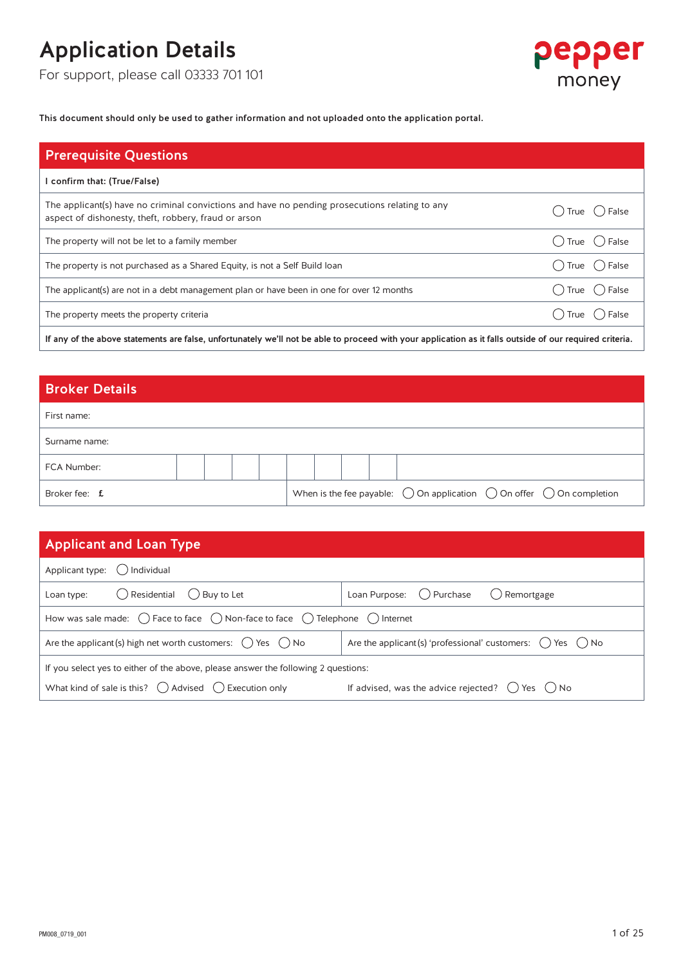For support, please call 03333 701 101



This document should only be used to gather information and not uploaded onto the application portal.

| () True () False                 |
|----------------------------------|
| $\bigcirc$ True $\bigcirc$ False |
| $()$ True $()$ False             |
| ○ True ○ False                   |
| () True () False                 |
|                                  |

If any of the above statements are false, unfortunately we'll not be able to proceed with your application as it falls outside of our required criteria.

### Broker Details

| First name:          |  |  |  |  |  |                                                                                                 |  |  |  |
|----------------------|--|--|--|--|--|-------------------------------------------------------------------------------------------------|--|--|--|
| Surname name:        |  |  |  |  |  |                                                                                                 |  |  |  |
| FCA Number:          |  |  |  |  |  |                                                                                                 |  |  |  |
| Broker fee: <b>f</b> |  |  |  |  |  | When is the fee payable: $\bigcirc$ On application $\bigcirc$ On offer $\bigcirc$ On completion |  |  |  |

| <b>Applicant and Loan Type</b>                                                                                  |                                                                              |  |  |  |  |  |  |  |  |  |
|-----------------------------------------------------------------------------------------------------------------|------------------------------------------------------------------------------|--|--|--|--|--|--|--|--|--|
| Applicant type: $\bigcirc$ Individual                                                                           |                                                                              |  |  |  |  |  |  |  |  |  |
| $\bigcirc$ Residential $\bigcirc$ Buy to Let<br>Loan type:                                                      | Loan Purpose: () Purchase () Remortgage                                      |  |  |  |  |  |  |  |  |  |
| How was sale made: $\bigcirc$ Face to face $\bigcirc$ Non-face to face $\bigcirc$ Telephone $\bigcirc$ Internet |                                                                              |  |  |  |  |  |  |  |  |  |
| Are the applicant (s) high net worth customers: $\bigcirc$ Yes $\bigcirc$ No                                    | Are the applicant (s) 'professional' customers: $\bigcirc$ Yes $\bigcirc$ No |  |  |  |  |  |  |  |  |  |
| If you select yes to either of the above, please answer the following 2 questions:                              |                                                                              |  |  |  |  |  |  |  |  |  |
| What kind of sale is this? $\bigcirc$ Advised $\bigcirc$ Execution only                                         | If advised, was the advice rejected? $\bigcirc$ Yes $\bigcirc$ No            |  |  |  |  |  |  |  |  |  |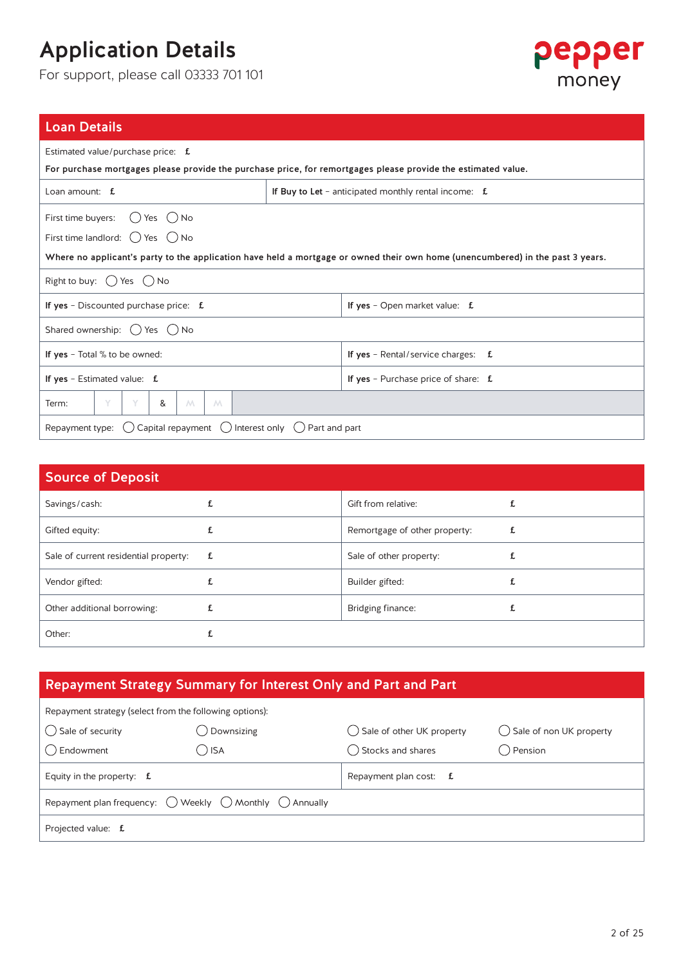For support, please call 03333 701 101



| <b>Loan Details</b>                                                                                                            |                                                       |  |  |  |  |  |  |  |  |  |
|--------------------------------------------------------------------------------------------------------------------------------|-------------------------------------------------------|--|--|--|--|--|--|--|--|--|
| Estimated value/purchase price: f                                                                                              |                                                       |  |  |  |  |  |  |  |  |  |
| For purchase mortgages please provide the purchase price, for remortgages please provide the estimated value.                  |                                                       |  |  |  |  |  |  |  |  |  |
| Loan amount: $f$                                                                                                               | If Buy to Let - anticipated monthly rental income: f. |  |  |  |  |  |  |  |  |  |
| First time buyers:<br>Yes ( ) No<br>$($ $)$                                                                                    |                                                       |  |  |  |  |  |  |  |  |  |
| First time landlord: $( )$ Yes $( )$ No                                                                                        |                                                       |  |  |  |  |  |  |  |  |  |
| Where no applicant's party to the application have held a mortgage or owned their own home (unencumbered) in the past 3 years. |                                                       |  |  |  |  |  |  |  |  |  |
| Right to buy: $\bigcirc$ Yes $\bigcirc$ No                                                                                     |                                                       |  |  |  |  |  |  |  |  |  |
| If yes - Discounted purchase price: $f$ .                                                                                      | If yes - Open market value: $f$ .                     |  |  |  |  |  |  |  |  |  |
| Shared ownership: $\bigcup$ Yes $\bigcup$ No                                                                                   |                                                       |  |  |  |  |  |  |  |  |  |
| If yes - Total % to be owned:                                                                                                  | If yes - Rental/service charges: $f$ .                |  |  |  |  |  |  |  |  |  |
| If yes - Estimated value: $f$ .                                                                                                | If yes - Purchase price of share: $f$ .               |  |  |  |  |  |  |  |  |  |
| Y<br>Term:<br>&<br>M<br>M                                                                                                      |                                                       |  |  |  |  |  |  |  |  |  |
| Repayment type: $\bigcirc$ Capital repayment $\bigcirc$ Interest only $\bigcirc$ Part and part                                 |                                                       |  |  |  |  |  |  |  |  |  |
|                                                                                                                                |                                                       |  |  |  |  |  |  |  |  |  |

| <b>Source of Deposit</b>              |             |                               |   |
|---------------------------------------|-------------|-------------------------------|---|
| Savings/cash:                         |             | Gift from relative:           |   |
| Gifted equity:                        |             | Remortgage of other property: | £ |
| Sale of current residential property: | $f_{\rm L}$ | Sale of other property:       | £ |
| Vendor gifted:                        |             | Builder gifted:               |   |
| Other additional borrowing:           |             | Bridging finance:             |   |
| Other:                                |             |                               |   |

### Repayment Strategy Summary for Interest Only and Part and Part

| Repayment strategy (select from the following options): |                                                                                    |                                      |                            |  |  |  |  |  |  |  |  |
|---------------------------------------------------------|------------------------------------------------------------------------------------|--------------------------------------|----------------------------|--|--|--|--|--|--|--|--|
| () Sale of security                                     | Downsizing                                                                         | $\bigcirc$ Sale of other UK property | () Sale of non UK property |  |  |  |  |  |  |  |  |
| () Endowment                                            | kal (                                                                              | () Stocks and shares                 | ( ) Pension                |  |  |  |  |  |  |  |  |
| Equity in the property: $f$ .                           |                                                                                    | Repayment plan cost: $f$ .           |                            |  |  |  |  |  |  |  |  |
|                                                         | Repayment plan frequency: $\bigcirc$ Weekly $\bigcirc$ Monthly $\bigcirc$ Annually |                                      |                            |  |  |  |  |  |  |  |  |
| Projected value: f                                      |                                                                                    |                                      |                            |  |  |  |  |  |  |  |  |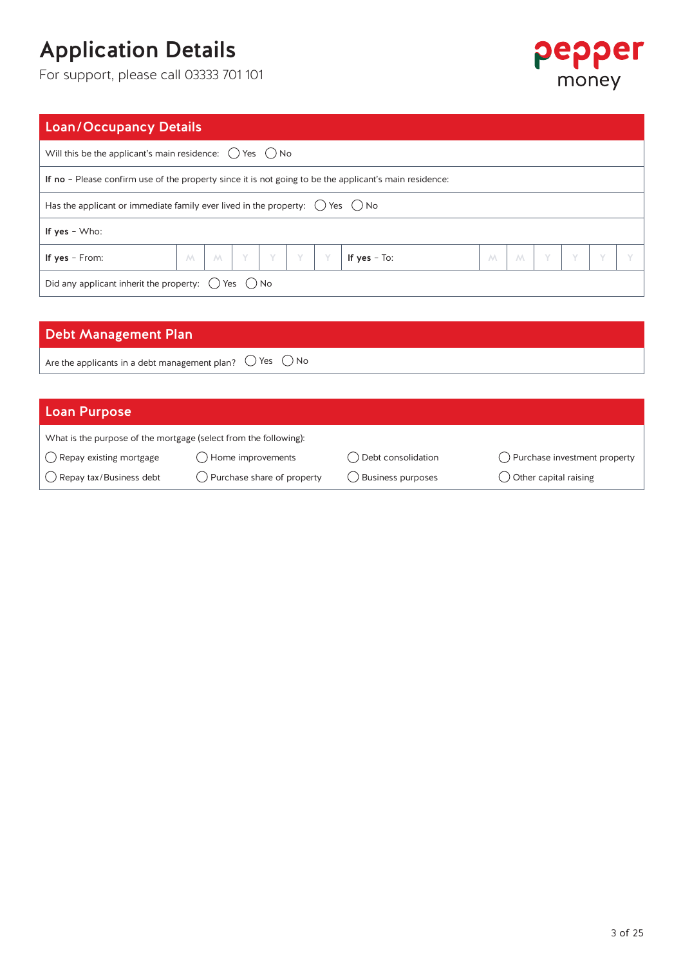For support, please call 03333 701 101



### Loan/Occupancy Details

| Will this be the applicant's main residence: $\bigcirc$ Yes $\bigcirc$ No                              |   |   |  |  |  |  |                                                                                 |             |   |  |         |   |  |
|--------------------------------------------------------------------------------------------------------|---|---|--|--|--|--|---------------------------------------------------------------------------------|-------------|---|--|---------|---|--|
| If no - Please confirm use of the property since it is not going to be the applicant's main residence: |   |   |  |  |  |  |                                                                                 |             |   |  |         |   |  |
| Has the applicant or immediate family ever lived in the property: $\bigcirc$ Yes $\bigcirc$ No         |   |   |  |  |  |  |                                                                                 |             |   |  |         |   |  |
| If $yes - Who$ :                                                                                       |   |   |  |  |  |  |                                                                                 |             |   |  |         |   |  |
| If yes - From:                                                                                         | M | M |  |  |  |  | $\vert \gamma \vert \gamma \vert \gamma \vert \gamma \vert \gamma$ if yes - To: | $M_{\odot}$ | M |  | $Y$ $Y$ | Y |  |
| Did any applicant inherit the property: $\bigcirc$ Yes $\bigcirc$ No                                   |   |   |  |  |  |  |                                                                                 |             |   |  |         |   |  |

### Debt Management Plan

Are the applicants in a debt management plan?  $\bigcirc$  Yes  $\bigcirc$  No

### Loan Purpose

| What is the purpose of the mortgage (select from the following): |                            |                    |                                 |  |  |  |  |  |  |  |  |
|------------------------------------------------------------------|----------------------------|--------------------|---------------------------------|--|--|--|--|--|--|--|--|
| $\bigcirc$ Repay existing mortgage                               | D Home improvements        | Debt consolidation | () Purchase investment property |  |  |  |  |  |  |  |  |
| () Repay tax/Business debt                                       | Purchase share of property | Business purposes  | () Other capital raising        |  |  |  |  |  |  |  |  |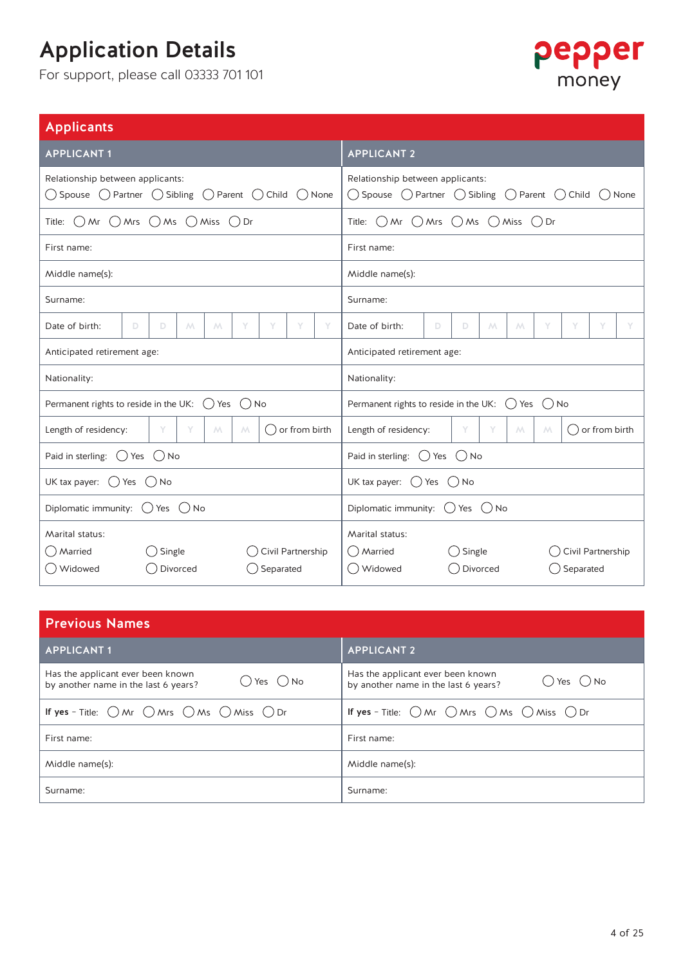

| <b>Applicants</b>                                                                                                                              |             |                                                      |             |             |   |   |               |   |                                                                                                                                            |   |    |   |             |   |   |   |  |  |
|------------------------------------------------------------------------------------------------------------------------------------------------|-------------|------------------------------------------------------|-------------|-------------|---|---|---------------|---|--------------------------------------------------------------------------------------------------------------------------------------------|---|----|---|-------------|---|---|---|--|--|
| <b>APPLICANT1</b>                                                                                                                              |             |                                                      |             |             |   |   |               |   | <b>APPLICANT 2</b>                                                                                                                         |   |    |   |             |   |   |   |  |  |
| Relationship between applicants:<br>$\bigcirc$ Spouse $\bigcirc$ Partner $\bigcirc$ Sibling $\bigcirc$ Parent $\bigcirc$ Child $\bigcirc$ None |             |                                                      |             |             |   |   |               |   | Relationship between applicants:<br>$\bigcirc$ Spouse $\bigcirc$ Partner $\bigcirc$ Sibling $\bigcirc$ Parent $\bigcirc$ Child<br>( ) None |   |    |   |             |   |   |   |  |  |
| Title: $\bigcirc$ Mr $\bigcirc$ Mrs $\bigcirc$ Ms $\bigcirc$ Miss $\bigcirc$ Dr                                                                |             |                                                      |             |             |   |   |               |   | Title: $\bigcirc$ Mr $\bigcirc$ Mrs $\bigcirc$ Ms $\bigcirc$ Miss $\bigcirc$ Dr                                                            |   |    |   |             |   |   |   |  |  |
| First name:                                                                                                                                    | First name: |                                                      |             |             |   |   |               |   |                                                                                                                                            |   |    |   |             |   |   |   |  |  |
| Middle name(s):                                                                                                                                |             |                                                      |             |             |   |   |               |   | Middle name(s):                                                                                                                            |   |    |   |             |   |   |   |  |  |
| Surname:                                                                                                                                       |             |                                                      |             |             |   |   |               |   | Surname:                                                                                                                                   |   |    |   |             |   |   |   |  |  |
| Date of birth:                                                                                                                                 | D.          | D                                                    | $M_{\odot}$ | $M_{\odot}$ | Υ | Υ | Y             | Y | Date of birth:                                                                                                                             | D | D. | Μ | $M_{\odot}$ | Υ | Y | Υ |  |  |
| Anticipated retirement age:                                                                                                                    |             |                                                      |             |             |   |   |               |   | Anticipated retirement age:                                                                                                                |   |    |   |             |   |   |   |  |  |
| Nationality:                                                                                                                                   |             |                                                      |             |             |   |   |               |   | Nationality:                                                                                                                               |   |    |   |             |   |   |   |  |  |
| Permanent rights to reside in the UK: $\bigcirc$ Yes $\bigcirc$ No                                                                             |             |                                                      |             |             |   |   |               |   | Permanent rights to reside in the UK: $( )$ Yes $( )$ No                                                                                   |   |    |   |             |   |   |   |  |  |
| Length of residency:                                                                                                                           |             | Y                                                    | Y           | $M_{\odot}$ | M |   | or from birth |   | Y<br>Length of residency:<br>Y<br>() or from birth<br>M<br>M                                                                               |   |    |   |             |   |   |   |  |  |
| Paid in sterling: $\bigcirc$ Yes $\bigcirc$ No                                                                                                 |             |                                                      |             |             |   |   |               |   | Paid in sterling: $\bigcirc$ Yes $\bigcirc$ No                                                                                             |   |    |   |             |   |   |   |  |  |
| UK tax payer: $\bigcirc$ Yes $\bigcirc$ No                                                                                                     |             |                                                      |             |             |   |   |               |   | UK tax payer: $\bigcirc$ Yes $\bigcirc$ No                                                                                                 |   |    |   |             |   |   |   |  |  |
| Diplomatic immunity: $() Yes () No$                                                                                                            |             |                                                      |             |             |   |   |               |   | Diplomatic immunity: $() Yes () No$                                                                                                        |   |    |   |             |   |   |   |  |  |
| Marital status:<br>() Married<br>() Widowed                                                                                                    |             | Single<br>Civil Partnership<br>Divorced<br>Separated |             |             |   |   |               |   | Marital status:<br>() Married<br>() Single<br>Civil Partnership<br>() Widowed<br>() Separated<br>Divorced                                  |   |    |   |             |   |   |   |  |  |

| <b>Previous Names</b>                                                                                     |                                                                                             |  |  |  |  |  |  |  |
|-----------------------------------------------------------------------------------------------------------|---------------------------------------------------------------------------------------------|--|--|--|--|--|--|--|
| <b>APPLICANT1</b>                                                                                         | <b>APPLICANT 2</b>                                                                          |  |  |  |  |  |  |  |
| Has the applicant ever been known<br>$\bigcirc$ Yes $\bigcirc$ No<br>by another name in the last 6 years? | Has the applicant ever been known<br>$O$ Yes $O$ No<br>by another name in the last 6 years? |  |  |  |  |  |  |  |
| If yes - Title: $\bigcirc$ Mr $\bigcirc$ Mrs $\bigcirc$ Ms $\bigcirc$ Miss $\bigcirc$ Dr                  | If yes - Title: $\bigcirc$ Mr $\bigcirc$ Mrs $\bigcirc$ Ms $\bigcirc$ Miss $\bigcirc$ Dr    |  |  |  |  |  |  |  |
| First name:                                                                                               | First name:                                                                                 |  |  |  |  |  |  |  |
| Middle name(s):                                                                                           | Middle name(s):                                                                             |  |  |  |  |  |  |  |
| Surname:                                                                                                  | Surname:                                                                                    |  |  |  |  |  |  |  |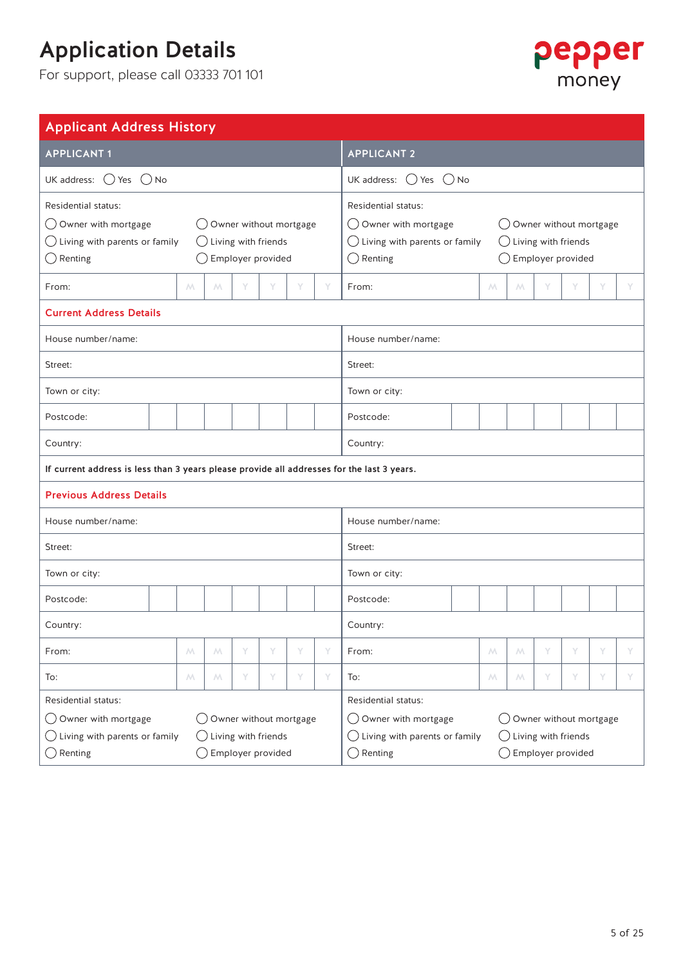

| <b>Applicant Address History</b>                                                                                                                                                                                      |                                                                                                                                                                                                   |  |  |  |  |  |  |  |  |
|-----------------------------------------------------------------------------------------------------------------------------------------------------------------------------------------------------------------------|---------------------------------------------------------------------------------------------------------------------------------------------------------------------------------------------------|--|--|--|--|--|--|--|--|
| <b>APPLICANT1</b>                                                                                                                                                                                                     | <b>APPLICANT 2</b>                                                                                                                                                                                |  |  |  |  |  |  |  |  |
| UK address: $\bigcirc$ Yes $\bigcirc$ No                                                                                                                                                                              | UK address: $\bigcirc$ Yes $\bigcirc$ No                                                                                                                                                          |  |  |  |  |  |  |  |  |
| Residential status:<br>$\bigcirc$ Owner with mortgage<br>$\bigcirc$ Owner without mortgage<br>$\bigcirc$ Living with parents or family<br>$\bigcirc$ Living with friends<br>$\bigcirc$ Renting<br>◯ Employer provided | Residential status:<br>◯ Owner with mortgage<br>◯ Owner without mortgage<br>$\bigcirc$ Living with parents or family<br>$\bigcirc$ Living with friends<br>$\bigcirc$ Renting<br>Employer provided |  |  |  |  |  |  |  |  |
| Y<br>Y<br>From:<br>M<br>$M_{\odot}$<br>Y<br>Y                                                                                                                                                                         | From:<br>Y<br>M<br>$M_{\odot}$<br>Y<br>Y<br>Y                                                                                                                                                     |  |  |  |  |  |  |  |  |
| <b>Current Address Details</b>                                                                                                                                                                                        |                                                                                                                                                                                                   |  |  |  |  |  |  |  |  |
| House number/name:                                                                                                                                                                                                    | House number/name:                                                                                                                                                                                |  |  |  |  |  |  |  |  |
| Street:                                                                                                                                                                                                               | Street:                                                                                                                                                                                           |  |  |  |  |  |  |  |  |
| Town or city:                                                                                                                                                                                                         | Town or city:                                                                                                                                                                                     |  |  |  |  |  |  |  |  |
| Postcode:                                                                                                                                                                                                             | Postcode:                                                                                                                                                                                         |  |  |  |  |  |  |  |  |
| Country:                                                                                                                                                                                                              | Country:                                                                                                                                                                                          |  |  |  |  |  |  |  |  |
| If current address is less than 3 years please provide all addresses for the last 3 years.                                                                                                                            |                                                                                                                                                                                                   |  |  |  |  |  |  |  |  |
| <b>Previous Address Details</b>                                                                                                                                                                                       |                                                                                                                                                                                                   |  |  |  |  |  |  |  |  |
| House number/name:                                                                                                                                                                                                    | House number/name:                                                                                                                                                                                |  |  |  |  |  |  |  |  |
| Street:                                                                                                                                                                                                               | Street:                                                                                                                                                                                           |  |  |  |  |  |  |  |  |
| Town or city:                                                                                                                                                                                                         | Town or city:                                                                                                                                                                                     |  |  |  |  |  |  |  |  |
| Postcode:                                                                                                                                                                                                             | Postcode:                                                                                                                                                                                         |  |  |  |  |  |  |  |  |
| Country:                                                                                                                                                                                                              | Country:                                                                                                                                                                                          |  |  |  |  |  |  |  |  |
| From:<br>М<br>M<br>Υ<br>Y<br>Υ<br>Υ                                                                                                                                                                                   | From:<br>Y<br>М<br>М<br>Υ                                                                                                                                                                         |  |  |  |  |  |  |  |  |
| Y<br>Y<br>Y<br>Μ<br>Y<br>To:<br>М<br>To:                                                                                                                                                                              | Y<br>Y<br>Y<br>M.<br>М                                                                                                                                                                            |  |  |  |  |  |  |  |  |
| <b>Residential status:</b><br>Owner with mortgage<br>◯ Owner without mortgage<br>$( \ )$<br>Living with parents or family<br>Living with friends<br>$(\quad)$                                                         | Residential status:<br>◯ Owner with mortgage<br>Owner without mortgage<br>$($ )<br>$\bigcirc$ Living with parents or family<br>Living with friends<br>( )                                         |  |  |  |  |  |  |  |  |
| $\bigcirc$ Employer provided<br>Renting<br>$\rightarrow$                                                                                                                                                              | Employer provided<br>$\big)$ Renting                                                                                                                                                              |  |  |  |  |  |  |  |  |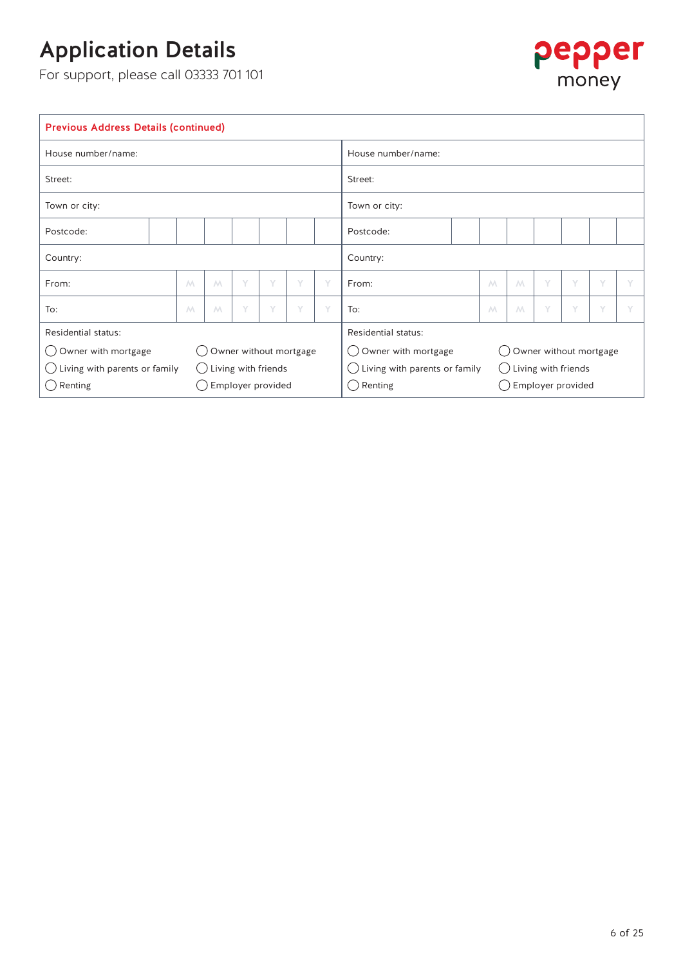

| <b>Previous Address Details (continued)</b> |   |   |                                |   |   |                    |                                                                |  |   |   |   |   |   |  |
|---------------------------------------------|---|---|--------------------------------|---|---|--------------------|----------------------------------------------------------------|--|---|---|---|---|---|--|
| House number/name:                          |   |   |                                |   |   | House number/name: |                                                                |  |   |   |   |   |   |  |
| Street:                                     |   |   |                                |   |   | Street:            |                                                                |  |   |   |   |   |   |  |
| Town or city:                               |   |   |                                |   |   | Town or city:      |                                                                |  |   |   |   |   |   |  |
| Postcode:                                   |   |   |                                |   |   |                    | Postcode:                                                      |  |   |   |   |   |   |  |
| Country:                                    |   |   |                                |   |   |                    | Country:                                                       |  |   |   |   |   |   |  |
| From:                                       | M | M | Y                              | Y | Y | Y                  | From:                                                          |  | M | M | Y | Y | Y |  |
| To:                                         | M | M | Y                              | Y | Y | Y                  | To:                                                            |  | M | M | Y | Y | Y |  |
| Residential status:                         |   |   |                                |   |   |                    | Residential status:                                            |  |   |   |   |   |   |  |
| ◯ Owner with mortgage                       |   |   | Owner without mortgage         |   |   |                    | ◯ Owner with mortgage<br>Owner without mortgage                |  |   |   |   |   |   |  |
| Living with parents or family<br>$(\ )$     |   |   | $\bigcirc$ Living with friends |   |   |                    | Living with parents or family<br>Living with friends<br>$(\ )$ |  |   |   |   |   |   |  |
| Renting<br>$(\t-$                           |   |   | Employer provided              |   |   |                    | $\bigcirc$ Renting<br>Employer provided                        |  |   |   |   |   |   |  |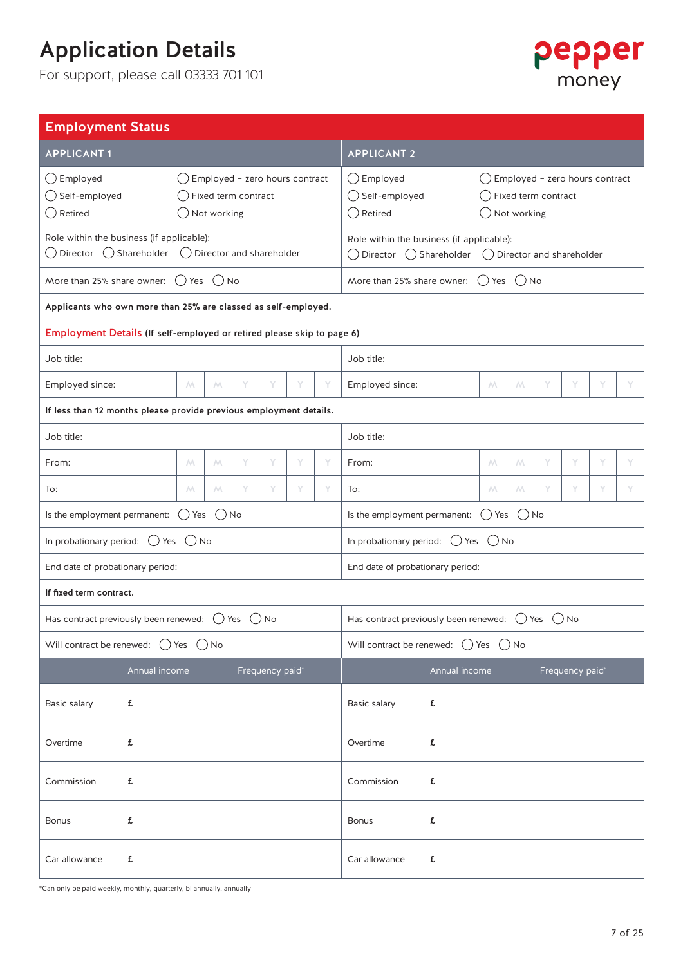For support, please call 03333 701 101



| <b>Employment Status</b>                                                                                                    |               |                  |             |                                                       |                 |   |                                             |                                                                                                                                                                       |               |                  |             |   |                            |   |   |  |
|-----------------------------------------------------------------------------------------------------------------------------|---------------|------------------|-------------|-------------------------------------------------------|-----------------|---|---------------------------------------------|-----------------------------------------------------------------------------------------------------------------------------------------------------------------------|---------------|------------------|-------------|---|----------------------------|---|---|--|
| <b>APPLICANT1</b>                                                                                                           |               |                  |             |                                                       |                 |   |                                             | <b>APPLICANT 2</b>                                                                                                                                                    |               |                  |             |   |                            |   |   |  |
| $\bigcirc$ Employed<br>◯ Self-employed<br>$\bigcirc$ Retired                                                                |               |                  | Not working | Employed - zero hours contract<br>Fixed term contract |                 |   |                                             | $\bigcirc$ Employed<br>$\bigcirc$ Employed - zero hours contract<br>◯ Self-employed<br>$\bigcirc$ Fixed term contract<br>$\bigcirc$ Retired<br>$\bigcirc$ Not working |               |                  |             |   |                            |   |   |  |
| Role within the business (if applicable):<br>$\bigcirc$ Director $\bigcirc$ Shareholder $\bigcirc$ Director and shareholder |               |                  |             |                                                       |                 |   |                                             | Role within the business (if applicable):<br>◯ Director ◯ Shareholder                                                                                                 |               |                  |             |   | ◯ Director and shareholder |   |   |  |
| More than 25% share owner: $( )$ Yes $( )$ No                                                                               |               |                  |             |                                                       |                 |   | More than 25% share owner: $()$ Yes $()$ No |                                                                                                                                                                       |               |                  |             |   |                            |   |   |  |
| Applicants who own more than 25% are classed as self-employed.                                                              |               |                  |             |                                                       |                 |   |                                             |                                                                                                                                                                       |               |                  |             |   |                            |   |   |  |
| Employment Details (If self-employed or retired please skip to page 6)                                                      |               |                  |             |                                                       |                 |   |                                             |                                                                                                                                                                       |               |                  |             |   |                            |   |   |  |
| Job title:                                                                                                                  |               |                  |             |                                                       |                 |   |                                             | Job title:                                                                                                                                                            |               |                  |             |   |                            |   |   |  |
| Employed since:                                                                                                             |               | M                | M           | Υ                                                     | Y               | Υ | Y                                           | Employed since:                                                                                                                                                       |               | $M_{\odot}$      | $M_{\odot}$ | Y | Y                          | Y | Υ |  |
| If less than 12 months please provide previous employment details.                                                          |               |                  |             |                                                       |                 |   |                                             |                                                                                                                                                                       |               |                  |             |   |                            |   |   |  |
| Job title:                                                                                                                  |               |                  |             |                                                       |                 |   |                                             | Job title:                                                                                                                                                            |               |                  |             |   |                            |   |   |  |
| From:                                                                                                                       |               | M                | Μ           | Υ                                                     | Y               | Y | Y                                           | From:                                                                                                                                                                 | Μ             | М                | Υ           | Y | Υ                          | Y |   |  |
| To:                                                                                                                         |               | $M_{\odot}$      | м           | Υ                                                     | Y               | Y | Y                                           | To:                                                                                                                                                                   |               | M.               | м           | Y | Y                          | Y | Υ |  |
| Is the employment permanent:                                                                                                |               | $()$ Yes $()$ No |             |                                                       |                 |   |                                             | Is the employment permanent:                                                                                                                                          |               | $()$ Yes $()$ No |             |   |                            |   |   |  |
| In probationary period: $\bigcirc$ Yes $\bigcirc$ No                                                                        |               |                  |             |                                                       |                 |   |                                             | In probationary period: $\bigcirc$ Yes $\bigcirc$ No                                                                                                                  |               |                  |             |   |                            |   |   |  |
| End date of probationary period:                                                                                            |               |                  |             |                                                       |                 |   |                                             | End date of probationary period:                                                                                                                                      |               |                  |             |   |                            |   |   |  |
| If fixed term contract.                                                                                                     |               |                  |             |                                                       |                 |   |                                             |                                                                                                                                                                       |               |                  |             |   |                            |   |   |  |
| Has contract previously been renewed: $\bigcirc$ Yes $\bigcirc$ No                                                          |               |                  |             |                                                       |                 |   |                                             | Has contract previously been renewed: $\bigcirc$ Yes<br>( ) No                                                                                                        |               |                  |             |   |                            |   |   |  |
| Will contract be renewed: $\bigcirc$ Yes $\bigcirc$ No                                                                      |               |                  |             |                                                       |                 |   |                                             | Will contract be renewed: $\bigcirc$ Yes $\bigcirc$ No                                                                                                                |               |                  |             |   |                            |   |   |  |
|                                                                                                                             | Annual income |                  |             |                                                       | Frequency paid* |   |                                             |                                                                                                                                                                       | Annual income |                  |             |   | Frequency paid*            |   |   |  |
| Basic salary                                                                                                                | £             |                  |             |                                                       |                 |   |                                             | Basic salary                                                                                                                                                          | £             |                  |             |   |                            |   |   |  |
| Overtime                                                                                                                    | £             |                  |             |                                                       |                 |   |                                             | Overtime                                                                                                                                                              | £             |                  |             |   |                            |   |   |  |
| Commission                                                                                                                  | £             |                  |             |                                                       |                 |   |                                             | Commission                                                                                                                                                            | £             |                  |             |   |                            |   |   |  |
| £<br><b>Bonus</b>                                                                                                           |               |                  |             |                                                       |                 |   | <b>Bonus</b>                                | £                                                                                                                                                                     |               |                  |             |   |                            |   |   |  |
| Car allowance                                                                                                               | £             |                  |             |                                                       |                 |   |                                             | Car allowance                                                                                                                                                         | £             |                  |             |   |                            |   |   |  |

\*Can only be paid weekly, monthly, quarterly, bi annually, annually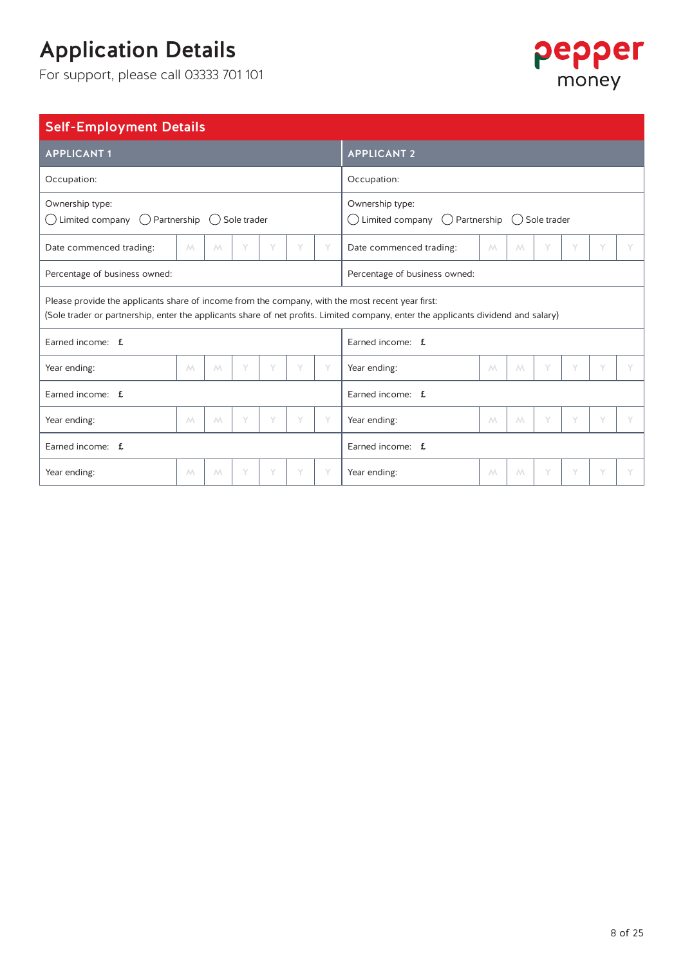For support, please call 03333 701 101



### Self-Employment Details

| <b>APPLICANT1</b>                                                                                                                                                                                                                      | <b>APPLICANT 2</b> |   |   |   |   |   |                                                                                             |                |   |   |   |   |  |
|----------------------------------------------------------------------------------------------------------------------------------------------------------------------------------------------------------------------------------------|--------------------|---|---|---|---|---|---------------------------------------------------------------------------------------------|----------------|---|---|---|---|--|
| Occupation:                                                                                                                                                                                                                            | Occupation:        |   |   |   |   |   |                                                                                             |                |   |   |   |   |  |
| Ownership type:<br>Limited company $\bigcirc$ Partnership $\bigcirc$ Sole trader<br>$( \ )$                                                                                                                                            |                    |   |   |   |   |   | Ownership type:<br>$\bigcirc$ Limited company $\bigcirc$ Partnership $\bigcirc$ Sole trader |                |   |   |   |   |  |
| Date commenced trading:                                                                                                                                                                                                                | M                  | M | Y | Y | Y | Y | Date commenced trading:                                                                     | $\wedge\wedge$ | M | Y | Y | Y |  |
| Percentage of business owned:                                                                                                                                                                                                          |                    |   |   |   |   |   | Percentage of business owned:                                                               |                |   |   |   |   |  |
| Please provide the applicants share of income from the company, with the most recent year first:<br>(Sole trader or partnership, enter the applicants share of net profits. Limited company, enter the applicants dividend and salary) |                    |   |   |   |   |   |                                                                                             |                |   |   |   |   |  |
| Earned income: f.                                                                                                                                                                                                                      |                    |   |   |   |   |   | Earned income: f.                                                                           |                |   |   |   |   |  |
| Year ending:                                                                                                                                                                                                                           | M                  | M | Υ | Y | Y | Y | Year ending:                                                                                | $M_{\odot}$    | M | Y | Υ |   |  |
| Earned income: f                                                                                                                                                                                                                       |                    |   |   |   |   |   | Earned income: f                                                                            |                |   |   |   |   |  |
| Year ending:                                                                                                                                                                                                                           | M                  | M | Υ | Y | Y | Y | Year ending:                                                                                | M              | M | Y | Y | Y |  |
| Earned income: f.                                                                                                                                                                                                                      |                    |   |   |   |   |   | Earned income: f.                                                                           |                |   |   |   |   |  |
| Year ending:                                                                                                                                                                                                                           | $M_{\odot}$        | M | Υ | Y | Y | Y | Year ending:                                                                                | $M_{\odot}$    | M | Y | Y | Y |  |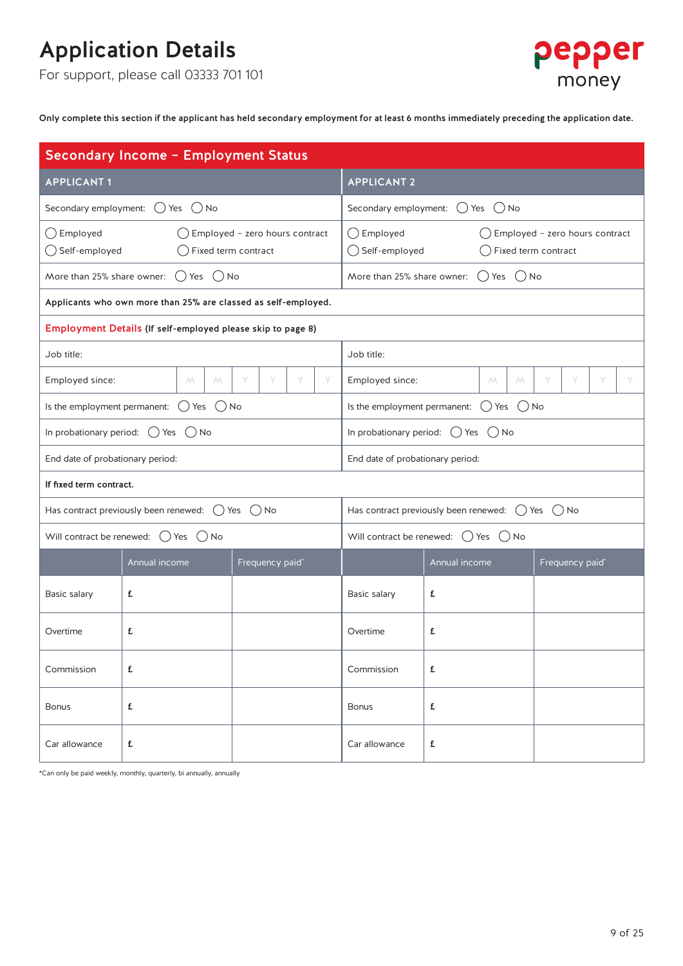For support, please call 03333 701 101



Only complete this section if the applicant has held secondary employment for at least 6 months immediately preceding the application date.

| Secondary Income - Employment Status                        |                                                                    |                                                                  |                                                                    |                                                           |                                           |  |  |  |  |  |
|-------------------------------------------------------------|--------------------------------------------------------------------|------------------------------------------------------------------|--------------------------------------------------------------------|-----------------------------------------------------------|-------------------------------------------|--|--|--|--|--|
| <b>APPLICANT1</b>                                           |                                                                    |                                                                  | <b>APPLICANT 2</b>                                                 |                                                           |                                           |  |  |  |  |  |
|                                                             | Secondary employment: $\bigcirc$ Yes $\bigcirc$ No                 |                                                                  | Secondary employment: $\bigcirc$ Yes $\bigcirc$ No                 |                                                           |                                           |  |  |  |  |  |
| $\bigcirc$ Employed<br>$\bigcirc$ Self-employed             |                                                                    | $\bigcirc$ Employed - zero hours contract<br>Fixed term contract | $\bigcirc$ Employed<br>◯ Self-employed                             | $\bigcirc$ Fixed term contract                            | $\bigcirc$ Employed - zero hours contract |  |  |  |  |  |
|                                                             | More than 25% share owner: $\bigcirc$ Yes $\bigcirc$ No            |                                                                  |                                                                    | More than 25% share owner: $( )$ Yes $( )$ No             |                                           |  |  |  |  |  |
|                                                             | Applicants who own more than 25% are classed as self-employed.     |                                                                  |                                                                    |                                                           |                                           |  |  |  |  |  |
| Employment Details (If self-employed please skip to page 8) |                                                                    |                                                                  |                                                                    |                                                           |                                           |  |  |  |  |  |
| Job title:                                                  |                                                                    |                                                                  | Job title:                                                         |                                                           |                                           |  |  |  |  |  |
| Employed since:                                             | $M_{\odot}$<br>$M_{\odot}$                                         | Y<br>Y<br>Y<br>Y                                                 | Employed since:                                                    | $M_{\odot}$<br>M.                                         | Y<br>Y<br>Y<br>Y                          |  |  |  |  |  |
|                                                             | Is the employment permanent: $\bigcirc$ Yes $\bigcirc$ No          |                                                                  |                                                                    | Is the employment permanent: $\bigcirc$ Yes $\bigcirc$ No |                                           |  |  |  |  |  |
|                                                             | In probationary period: $\bigcirc$ Yes $\bigcirc$ No               |                                                                  |                                                                    | In probationary period: $\bigcirc$ Yes $\bigcirc$ No      |                                           |  |  |  |  |  |
| End date of probationary period:                            |                                                                    |                                                                  | End date of probationary period:                                   |                                                           |                                           |  |  |  |  |  |
| If fixed term contract.                                     |                                                                    |                                                                  |                                                                    |                                                           |                                           |  |  |  |  |  |
|                                                             | Has contract previously been renewed: $\bigcirc$ Yes $\bigcirc$ No |                                                                  | Has contract previously been renewed: $\bigcirc$ Yes $\bigcirc$ No |                                                           |                                           |  |  |  |  |  |
|                                                             | Will contract be renewed: $\bigcirc$ Yes $\bigcirc$ No             |                                                                  | Will contract be renewed: $\bigcirc$ Yes $\bigcirc$ No             |                                                           |                                           |  |  |  |  |  |
|                                                             | Annual income                                                      | Frequency paid*                                                  |                                                                    | Annual income                                             | Frequency paid*                           |  |  |  |  |  |
| Basic salary                                                | £                                                                  |                                                                  | Basic salary                                                       | £                                                         |                                           |  |  |  |  |  |
| Overtime                                                    | £                                                                  |                                                                  | Overtime                                                           | £                                                         |                                           |  |  |  |  |  |
| Commission                                                  | £                                                                  |                                                                  | Commission                                                         | £                                                         |                                           |  |  |  |  |  |
| <b>Bonus</b>                                                | £                                                                  |                                                                  | £<br><b>Bonus</b>                                                  |                                                           |                                           |  |  |  |  |  |
| Car allowance                                               | £                                                                  |                                                                  | Car allowance                                                      | £                                                         |                                           |  |  |  |  |  |

\*Can only be paid weekly, monthly, quarterly, bi annually, annually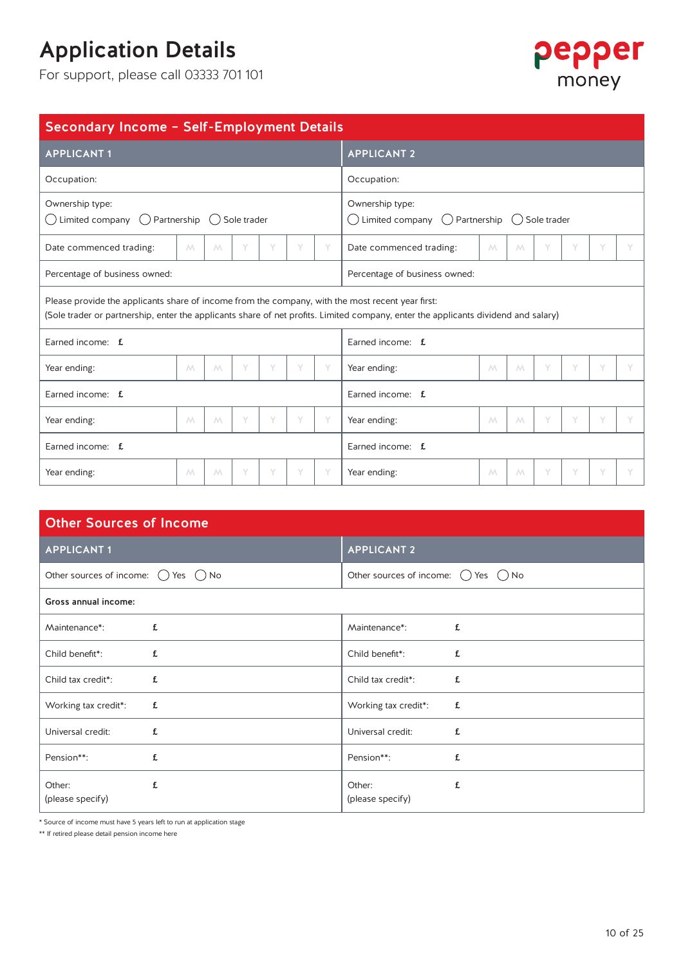For support, please call 03333 701 101



| Secondary Income - Self-Employment Details                                                                                                                                                                                             |             |   |   |   |   |   |                                                                         |                             |   |   |   |   |   |
|----------------------------------------------------------------------------------------------------------------------------------------------------------------------------------------------------------------------------------------|-------------|---|---|---|---|---|-------------------------------------------------------------------------|-----------------------------|---|---|---|---|---|
| <b>APPLICANT1</b>                                                                                                                                                                                                                      |             |   |   |   |   |   | <b>APPLICANT 2</b>                                                      |                             |   |   |   |   |   |
| Occupation:                                                                                                                                                                                                                            | Occupation: |   |   |   |   |   |                                                                         |                             |   |   |   |   |   |
| Ownership type:<br>Limited company $( )$ Partnership $( )$ Sole trader<br>$(\quad)$                                                                                                                                                    |             |   |   |   |   |   | Ownership type:<br>Limited company () Partnership () Sole trader<br>( ) |                             |   |   |   |   |   |
| Date commenced trading:                                                                                                                                                                                                                | M           | M |   |   |   |   | Date commenced trading:                                                 | $\mathcal{M}_{\mathcal{A}}$ | M |   | Υ |   |   |
| Percentage of business owned:                                                                                                                                                                                                          |             |   |   |   |   |   | Percentage of business owned:                                           |                             |   |   |   |   |   |
| Please provide the applicants share of income from the company, with the most recent year first:<br>(Sole trader or partnership, enter the applicants share of net profits. Limited company, enter the applicants dividend and salary) |             |   |   |   |   |   |                                                                         |                             |   |   |   |   |   |
| Earned income: f.                                                                                                                                                                                                                      |             |   |   |   |   |   | Earned income: f.                                                       |                             |   |   |   |   |   |
| Year ending:                                                                                                                                                                                                                           | M           | M | Υ |   | Υ |   | Year ending:                                                            | $M_{\odot}$                 | M | Y | Y | Y |   |
| Earned income: f.                                                                                                                                                                                                                      |             |   |   |   |   |   | Earned income: f.                                                       |                             |   |   |   |   |   |
| Year ending:                                                                                                                                                                                                                           | $M_{\odot}$ | M | Υ | Υ | Y | Y | Year ending:                                                            | $M_{\odot}$                 | M | Y | Y | Y | Y |
| Earned income: f                                                                                                                                                                                                                       |             |   |   |   |   |   | Earned income: f                                                        |                             |   |   |   |   |   |
| Year ending:                                                                                                                                                                                                                           | $M_{\odot}$ | M | Y | Y | Y |   | Year ending:                                                            | M                           | M | Y | Y |   | Y |

| <b>Other Sources of Income</b>                        |                                                       |  |  |  |  |  |  |  |  |  |  |
|-------------------------------------------------------|-------------------------------------------------------|--|--|--|--|--|--|--|--|--|--|
| <b>APPLICANT 1</b>                                    | <b>APPLICANT 2</b>                                    |  |  |  |  |  |  |  |  |  |  |
| Other sources of income: $\bigcirc$ Yes $\bigcirc$ No | Other sources of income: $\bigcirc$ Yes $\bigcirc$ No |  |  |  |  |  |  |  |  |  |  |
| Gross annual income:                                  |                                                       |  |  |  |  |  |  |  |  |  |  |
| £                                                     | £                                                     |  |  |  |  |  |  |  |  |  |  |
| Maintenance*:                                         | Maintenance*:                                         |  |  |  |  |  |  |  |  |  |  |
| Child benefit*:<br>£                                  | Child benefit <sup>*</sup> :<br>£                     |  |  |  |  |  |  |  |  |  |  |
| Child tax credit*:                                    | Child tax credit*:                                    |  |  |  |  |  |  |  |  |  |  |
| £                                                     | £                                                     |  |  |  |  |  |  |  |  |  |  |
| Working tax credit*:                                  | Working tax credit*:                                  |  |  |  |  |  |  |  |  |  |  |
| £                                                     | £                                                     |  |  |  |  |  |  |  |  |  |  |
| Universal credit:                                     | Universal credit:                                     |  |  |  |  |  |  |  |  |  |  |
| £                                                     | £                                                     |  |  |  |  |  |  |  |  |  |  |
| Pension**:                                            | £                                                     |  |  |  |  |  |  |  |  |  |  |
| £                                                     | Pension**:                                            |  |  |  |  |  |  |  |  |  |  |
| Other:                                                | £                                                     |  |  |  |  |  |  |  |  |  |  |
| £                                                     | Other:                                                |  |  |  |  |  |  |  |  |  |  |
| (please specify)                                      | (please specify)                                      |  |  |  |  |  |  |  |  |  |  |

\* Source of income must have 5 years left to run at application stage

\*\* If retired please detail pension income here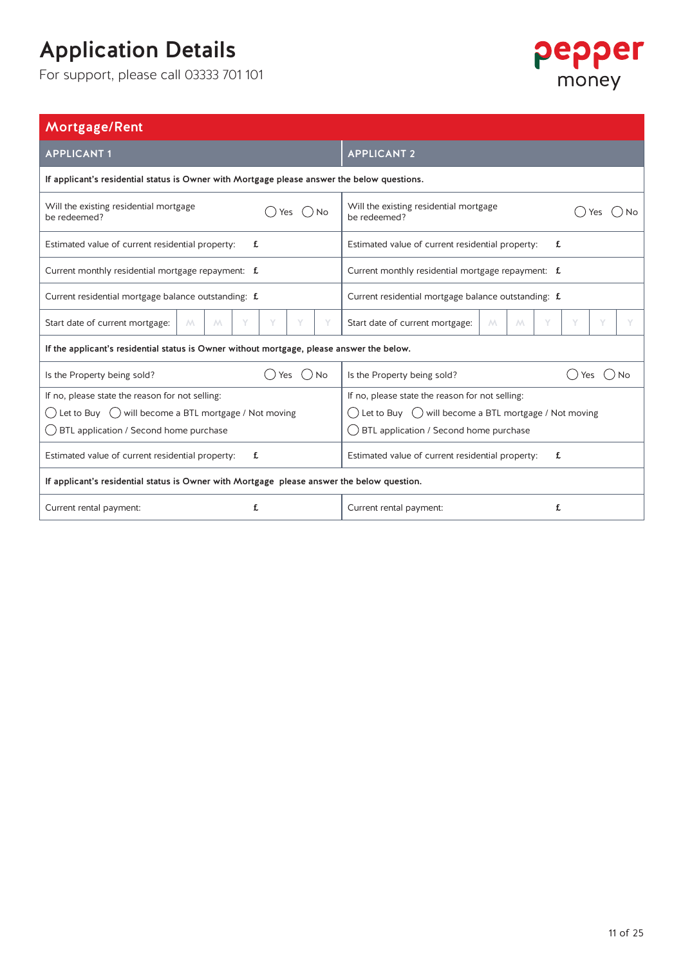

| Mortgage/Rent                                                                               |                                                                          |  |  |  |  |  |  |
|---------------------------------------------------------------------------------------------|--------------------------------------------------------------------------|--|--|--|--|--|--|
| <b>APPLICANT1</b>                                                                           | <b>APPLICANT 2</b>                                                       |  |  |  |  |  |  |
| If applicant's residential status is Owner with Mortgage please answer the below questions. |                                                                          |  |  |  |  |  |  |
| Will the existing residential mortgage<br>()No<br>Yes<br>be redeemed?                       | Will the existing residential mortgage<br>be redeemed?                   |  |  |  |  |  |  |
| Estimated value of current residential property:<br>£                                       | Estimated value of current residential property:<br>£                    |  |  |  |  |  |  |
| Current monthly residential mortgage repayment: £                                           | Current monthly residential mortgage repayment: £                        |  |  |  |  |  |  |
| Current residential mortgage balance outstanding: £                                         | Current residential mortgage balance outstanding: £                      |  |  |  |  |  |  |
| Start date of current mortgage:<br>M<br>Y<br>M<br>Υ                                         | Y<br>Start date of current mortgage:<br>M.<br>M<br>Y                     |  |  |  |  |  |  |
| If the applicant's residential status is Owner without mortgage, please answer the below.   |                                                                          |  |  |  |  |  |  |
| $()$ No<br>Is the Property being sold?<br>Yes                                               | Is the Property being sold?<br><b>No</b><br>Yes                          |  |  |  |  |  |  |
| If no, please state the reason for not selling:                                             | If no, please state the reason for not selling:                          |  |  |  |  |  |  |
| () Let to Buy () will become a BTL mortgage / Not moving                                    | $\bigcirc$ Let to Buy $\bigcirc$ will become a BTL mortgage / Not moving |  |  |  |  |  |  |
| BTL application / Second home purchase                                                      | ◯ BTL application / Second home purchase                                 |  |  |  |  |  |  |
| Estimated value of current residential property:<br>£                                       | Estimated value of current residential property:<br>£                    |  |  |  |  |  |  |
| If applicant's residential status is Owner with Mortgage please answer the below question.  |                                                                          |  |  |  |  |  |  |
| Current rental payment:<br>£                                                                | £<br>Current rental payment:                                             |  |  |  |  |  |  |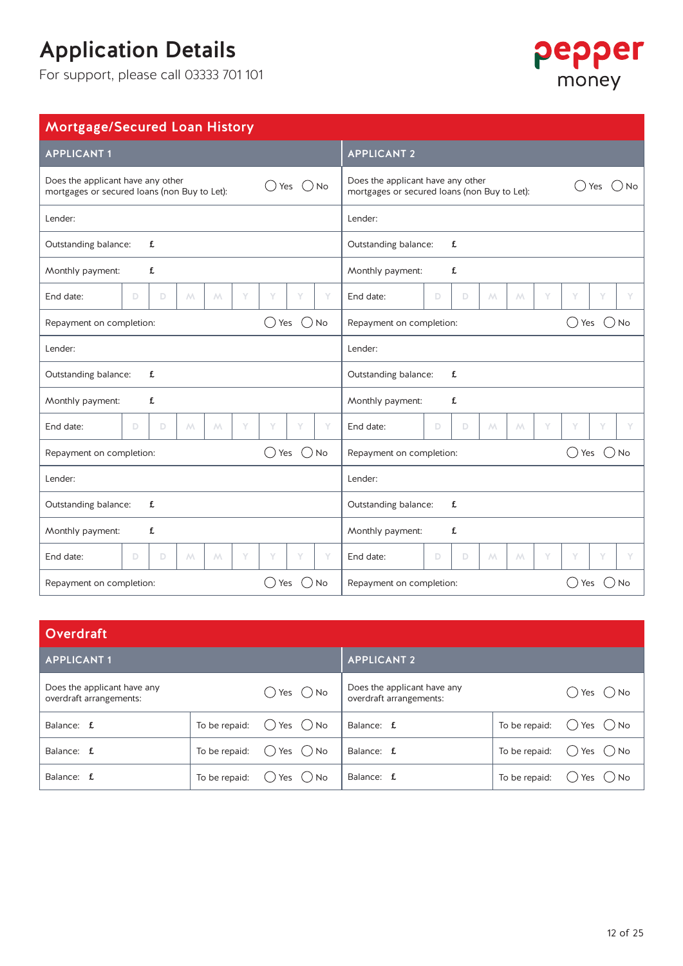

| Mortgage/Secured Loan History                                                                  |                                                                                                     |  |  |  |  |  |  |  |
|------------------------------------------------------------------------------------------------|-----------------------------------------------------------------------------------------------------|--|--|--|--|--|--|--|
| <b>APPLICANT1</b>                                                                              | <b>APPLICANT 2</b>                                                                                  |  |  |  |  |  |  |  |
| Does the applicant have any other<br>Yes () No<br>mortgages or secured loans (non Buy to Let): | Does the applicant have any other<br>$()$ No<br>Yes<br>mortgages or secured loans (non Buy to Let): |  |  |  |  |  |  |  |
| Lender:                                                                                        | Lender:                                                                                             |  |  |  |  |  |  |  |
| £                                                                                              | £                                                                                                   |  |  |  |  |  |  |  |
| Outstanding balance:                                                                           | Outstanding balance:                                                                                |  |  |  |  |  |  |  |
| £                                                                                              | £                                                                                                   |  |  |  |  |  |  |  |
| Monthly payment:                                                                               | Monthly payment:                                                                                    |  |  |  |  |  |  |  |
| End date:<br>D<br>$\mathbb D$<br>$\mathcal{M}% _{0}$<br>Υ<br>Υ<br>Υ<br>Υ<br>М                  | End date:<br>$\mathbb D$<br>D<br>$\land\land$<br>Υ<br>Y<br>Υ<br>М                                   |  |  |  |  |  |  |  |
| $()$ No                                                                                        | Repayment on completion:                                                                            |  |  |  |  |  |  |  |
| ◯ Yes                                                                                          | Yes                                                                                                 |  |  |  |  |  |  |  |
| Repayment on completion:                                                                       | No                                                                                                  |  |  |  |  |  |  |  |
| Lender:                                                                                        | Lender:                                                                                             |  |  |  |  |  |  |  |
| Outstanding balance:                                                                           | Outstanding balance:                                                                                |  |  |  |  |  |  |  |
| £                                                                                              | £                                                                                                   |  |  |  |  |  |  |  |
| £                                                                                              | £                                                                                                   |  |  |  |  |  |  |  |
| Monthly payment:                                                                               | Monthly payment:                                                                                    |  |  |  |  |  |  |  |
| End date:                                                                                      | Y                                                                                                   |  |  |  |  |  |  |  |
| D                                                                                              | End date:                                                                                           |  |  |  |  |  |  |  |
| D                                                                                              | D.                                                                                                  |  |  |  |  |  |  |  |
| Y                                                                                              | Y                                                                                                   |  |  |  |  |  |  |  |
| Y                                                                                              | Υ                                                                                                   |  |  |  |  |  |  |  |
| Y                                                                                              | Y                                                                                                   |  |  |  |  |  |  |  |
| Y                                                                                              | D                                                                                                   |  |  |  |  |  |  |  |
| $M_{\odot}$                                                                                    | M                                                                                                   |  |  |  |  |  |  |  |
| $M_{\odot}$                                                                                    | M                                                                                                   |  |  |  |  |  |  |  |
| $()$ No                                                                                        | Yes                                                                                                 |  |  |  |  |  |  |  |
| () Yes                                                                                         | $()$ No                                                                                             |  |  |  |  |  |  |  |
| Repayment on completion:                                                                       | Repayment on completion:                                                                            |  |  |  |  |  |  |  |
| Lender:                                                                                        | Lender:                                                                                             |  |  |  |  |  |  |  |
| £                                                                                              | Outstanding balance:                                                                                |  |  |  |  |  |  |  |
| Outstanding balance:                                                                           | £                                                                                                   |  |  |  |  |  |  |  |
| Monthly payment:                                                                               | £                                                                                                   |  |  |  |  |  |  |  |
| £                                                                                              | Monthly payment:                                                                                    |  |  |  |  |  |  |  |
| End date:<br>D<br>$\mathbb D$<br>$\mathcal{M}% _{0}$<br>Υ<br>Υ<br>Υ<br>Υ<br>М                  | End date:<br>$\mathbb D$<br>D<br>$\mathcal{M}% _{0}$<br>Υ<br>Y<br>Υ<br>М                            |  |  |  |  |  |  |  |
| $()$ No<br>Yes<br>Repayment on completion:                                                     | $($ )<br>No<br>Repayment on completion:<br>Yes                                                      |  |  |  |  |  |  |  |

| <b>Overdraft</b>                                       |               |                              |                                                        |               |                                      |
|--------------------------------------------------------|---------------|------------------------------|--------------------------------------------------------|---------------|--------------------------------------|
| <b>APPLICANT1</b>                                      |               |                              | <b>APPLICANT 2</b>                                     |               |                                      |
| Does the applicant have any<br>overdraft arrangements: |               | Yes $\bigcirc$ No<br>( )     | Does the applicant have any<br>overdraft arrangements: |               | Yes ( ) No                           |
| Balance: f                                             | To be repaid: | Yes $\bigcirc$ No<br>$($ )   | Balance: f                                             | To be repaid: | $()$ Yes $()$ No                     |
| Balance: f                                             | To be repaid: | $\bigcirc$ Yes $\bigcirc$ No | Balance: f                                             | To be repaid: | Yes ( ) No<br>$\left( \quad \right)$ |
| Balance: f                                             | To be repaid: | Yes () No                    | Balance: f                                             | To be repaid: | Yes ( ) No                           |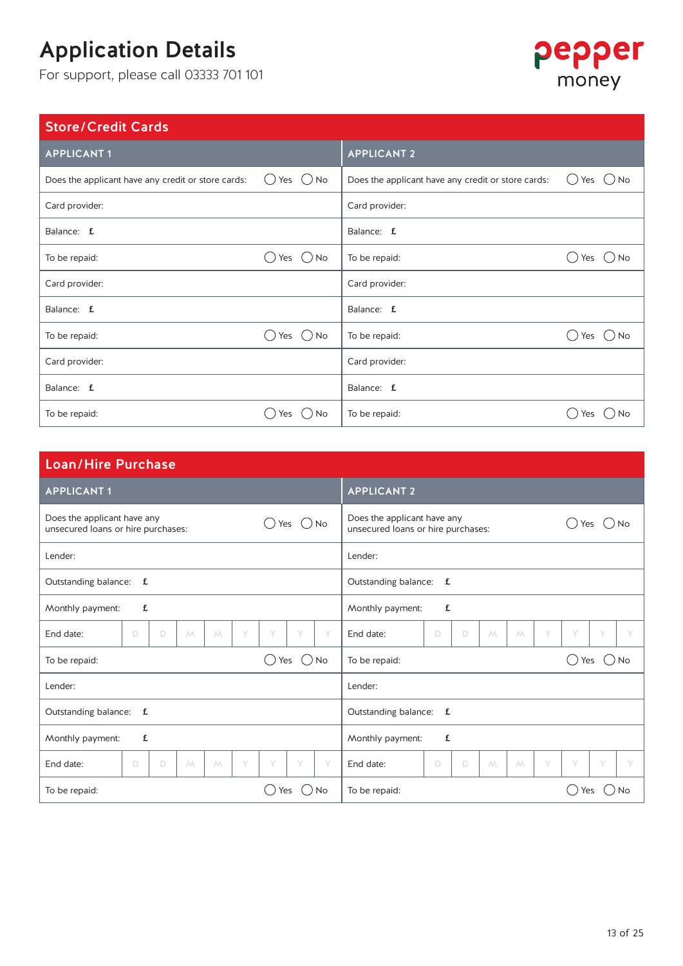For support, please call 03333 701 101

## pepper money

### Store/Credit Cards

| <b>APPLICANT1</b>                                  |                     | <b>APPLICANT 2</b>                                 |             |
|----------------------------------------------------|---------------------|----------------------------------------------------|-------------|
| Does the applicant have any credit or store cards: | Yes $($ $)$ No<br>( | Does the applicant have any credit or store cards: | ()No<br>Yes |
| Card provider:                                     |                     | Card provider:                                     |             |
| Balance: f                                         |                     | Balance: f                                         |             |
| To be repaid:                                      | Yes $($ ) No        | To be repaid:                                      | Yes<br>) No |
| Card provider:                                     |                     | Card provider:                                     |             |
| Balance: f                                         |                     | Balance: f                                         |             |
| To be repaid:                                      | $()$ No<br>Yes      | To be repaid:                                      | D No<br>Yes |
| Card provider:                                     |                     | Card provider:                                     |             |
| Balance: f                                         |                     | Balance: f                                         |             |
| To be repaid:                                      | DNO<br>Yes          | To be repaid:                                      | No<br>Yes   |

| <b>Loan/Hire Purchase</b>                                                           |                                                                                       |  |  |  |  |  |  |  |  |
|-------------------------------------------------------------------------------------|---------------------------------------------------------------------------------------|--|--|--|--|--|--|--|--|
| <b>APPLICANT 1</b>                                                                  | <b>APPLICANT 2</b>                                                                    |  |  |  |  |  |  |  |  |
| Does the applicant have any<br>$()$ No<br>Yes<br>unsecured loans or hire purchases: | Does the applicant have any<br><b>No</b><br>Yes<br>unsecured loans or hire purchases: |  |  |  |  |  |  |  |  |
| Lender:                                                                             | Lender:                                                                               |  |  |  |  |  |  |  |  |
| Outstanding balance: f.                                                             | Outstanding balance: f.                                                               |  |  |  |  |  |  |  |  |
| £<br>Monthly payment:                                                               | Monthly payment:<br>£                                                                 |  |  |  |  |  |  |  |  |
| End date:<br>M<br>Y<br>Y<br>Y<br>Y<br>D<br>$\Box$<br>M                              | Y<br>End date:<br>D<br>D<br>Y<br>Y<br>V<br>M<br>M                                     |  |  |  |  |  |  |  |  |
| $()$ No<br>Yes<br>To be repaid:                                                     | To be repaid:<br>()No<br>Yes<br>( )                                                   |  |  |  |  |  |  |  |  |
| Lender:                                                                             | Lender:                                                                               |  |  |  |  |  |  |  |  |
| Outstanding balance: f.                                                             | Outstanding balance: f.                                                               |  |  |  |  |  |  |  |  |
| £<br>Monthly payment:                                                               | Monthly payment:<br>£                                                                 |  |  |  |  |  |  |  |  |
| Y<br>Y<br>Y<br>M<br>Y<br>End date:<br>D<br>D<br>$\land\land$                        | Y<br>Y<br>Y<br>End date:<br>D<br>D<br>Y<br>M<br>M                                     |  |  |  |  |  |  |  |  |
| DNO<br>To be repaid:<br>Yes                                                         | To be repaid:<br><b>No</b><br>Yes                                                     |  |  |  |  |  |  |  |  |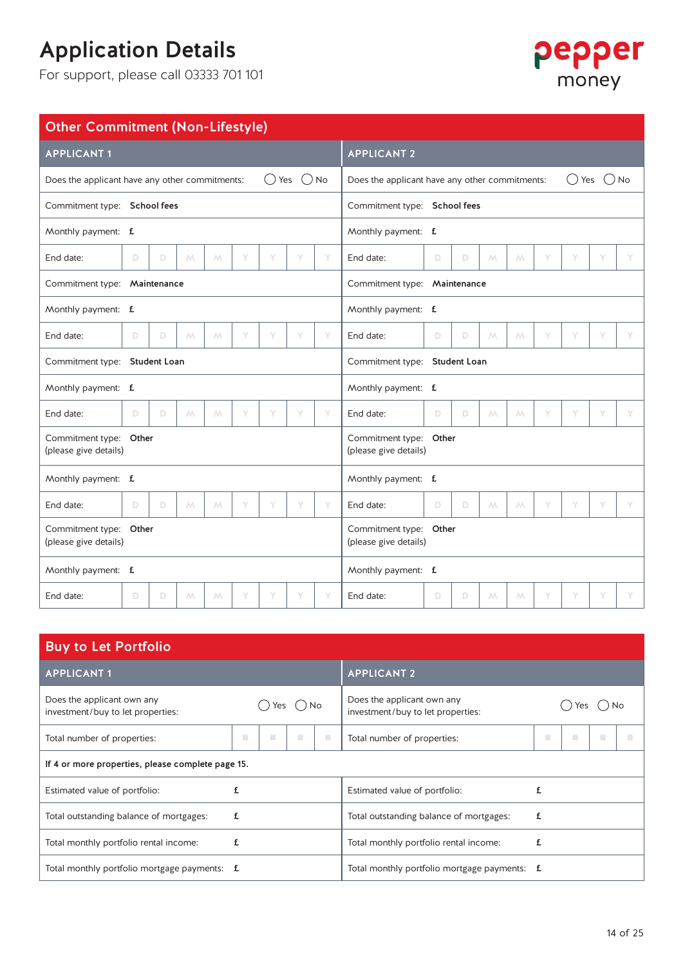

| <b>Other Commitment (Non-Lifestyle)</b>                                     |   |   |             |                |   |   |                                                 |                              |                                                                                    |   |   |                |             |   |   |   |   |
|-----------------------------------------------------------------------------|---|---|-------------|----------------|---|---|-------------------------------------------------|------------------------------|------------------------------------------------------------------------------------|---|---|----------------|-------------|---|---|---|---|
| <b>APPLICANT1</b>                                                           |   |   |             |                |   |   |                                                 |                              | <b>APPLICANT 2</b>                                                                 |   |   |                |             |   |   |   |   |
| Yes $\bigcap$ No<br>Does the applicant have any other commitments:<br>$($ ) |   |   |             |                |   |   |                                                 |                              | Does the applicant have any other commitments:<br>Yes<br>( )<br><b>No</b><br>$($ ) |   |   |                |             |   |   |   |   |
| Commitment type: School fees                                                |   |   |             |                |   |   |                                                 | Commitment type: School fees |                                                                                    |   |   |                |             |   |   |   |   |
| Monthly payment: f.                                                         |   |   |             |                |   |   |                                                 | Monthly payment: f           |                                                                                    |   |   |                |             |   |   |   |   |
| End date:                                                                   | D | D | М           | М              | Υ | Υ | Υ                                               | Y                            | End date:                                                                          | D | D | $\wedge\wedge$ | М           | Y | Y | Υ |   |
| Commitment type: Maintenance                                                |   |   |             |                |   |   |                                                 | Commitment type: Maintenance |                                                                                    |   |   |                |             |   |   |   |   |
| Monthly payment: f.                                                         |   |   |             |                |   |   |                                                 |                              | Monthly payment: f.                                                                |   |   |                |             |   |   |   |   |
| End date:                                                                   | D | D | М           | $M_{\odot}$    | Υ | Υ | Υ                                               | Υ                            | End date:                                                                          | D | D | M              | М           | Y | Y | Υ |   |
| Commitment type: Student Loan                                               |   |   |             |                |   |   |                                                 |                              | Commitment type: Student Loan                                                      |   |   |                |             |   |   |   |   |
| Monthly payment: f.                                                         |   |   |             |                |   |   |                                                 |                              | Monthly payment: f                                                                 |   |   |                |             |   |   |   |   |
| End date:                                                                   | D | D | $M_{\odot}$ | М              | Y | Υ | Υ                                               | Y                            | End date:                                                                          | D | D | М              | $M_{\odot}$ | Y | Υ | Υ | Υ |
| Commitment type: Other<br>(please give details)                             |   |   |             |                |   |   |                                                 |                              | Commitment type: Other<br>(please give details)                                    |   |   |                |             |   |   |   |   |
| Monthly payment: f                                                          |   |   |             |                |   |   |                                                 |                              | Monthly payment: f                                                                 |   |   |                |             |   |   |   |   |
| End date:                                                                   | D | D | M           | $\wedge\wedge$ | Y | Y | Υ                                               | Y                            | End date:                                                                          | D | D | M              | M           | Y | Y | Υ |   |
| Commitment type: Other<br>(please give details)                             |   |   |             |                |   |   | Commitment type: Other<br>(please give details) |                              |                                                                                    |   |   |                |             |   |   |   |   |
| Monthly payment: f                                                          |   |   |             |                |   |   | Monthly payment: f.                             |                              |                                                                                    |   |   |                |             |   |   |   |   |
| End date:                                                                   | D | D | $M_{\odot}$ | $\wedge\wedge$ | Y | Υ | Υ                                               | Υ                            | End date:                                                                          | D | D | М              | $M_{\odot}$ | Y | Y | Υ |   |

| <b>Buy to Let Portfolio</b>                                                        |   |  |                                             |  |                                                                 |   |  |  |  |  |  |  |
|------------------------------------------------------------------------------------|---|--|---------------------------------------------|--|-----------------------------------------------------------------|---|--|--|--|--|--|--|
| <b>APPLICANT1</b>                                                                  |   |  | <b>APPLICANT 2</b>                          |  |                                                                 |   |  |  |  |  |  |  |
| Does the applicant own any<br>$( )$ No<br>Yes<br>investment/buy to let properties: |   |  |                                             |  | Does the applicant own any<br>investment/buy to let properties: |   |  |  |  |  |  |  |
| 蒜<br>蒜<br>井<br>非<br>Total number of properties:                                    |   |  |                                             |  | 蒜<br>╪<br>井<br>Total number of properties:                      |   |  |  |  |  |  |  |
| If 4 or more properties, please complete page 15.                                  |   |  |                                             |  |                                                                 |   |  |  |  |  |  |  |
| Estimated value of portfolio:                                                      | £ |  |                                             |  | Estimated value of portfolio:                                   |   |  |  |  |  |  |  |
| Total outstanding balance of mortgages:                                            | £ |  |                                             |  | Total outstanding balance of mortgages:                         | £ |  |  |  |  |  |  |
| Total monthly portfolio rental income:                                             | £ |  | £<br>Total monthly portfolio rental income: |  |                                                                 |   |  |  |  |  |  |  |
| Total monthly portfolio mortgage payments: $f(x)$                                  |   |  |                                             |  | Total monthly portfolio mortgage payments: <b>f</b>             |   |  |  |  |  |  |  |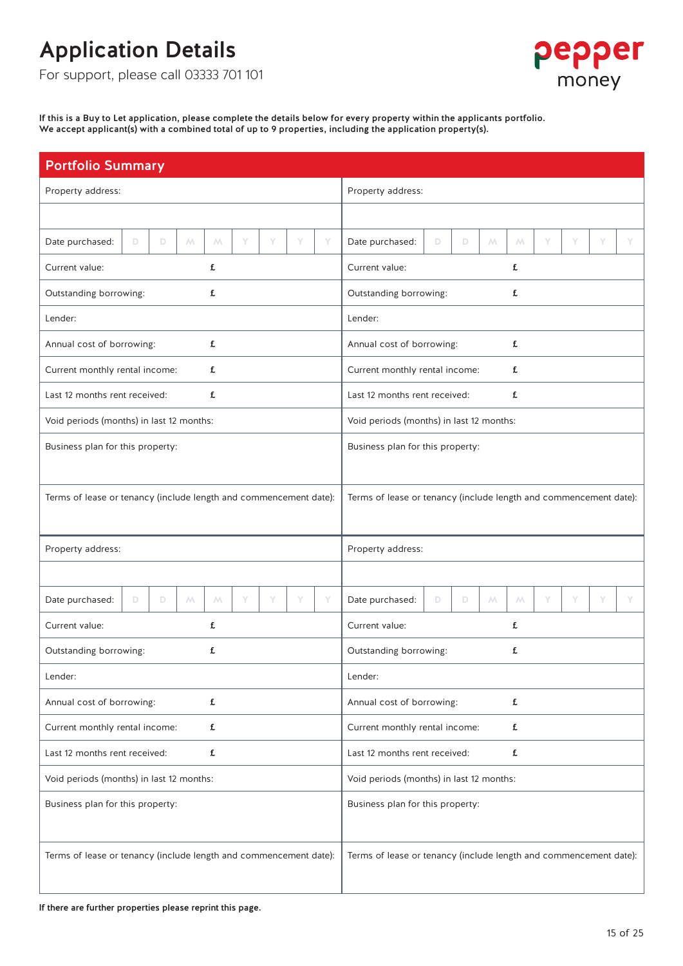For support, please call 03333 701 101



If this is a Buy to Let application, please complete the details below for every property within the applicants portfolio. We accept applicant(s) with a combined total of up to 9 properties, including the application property(s).

| <b>Portfolio Summary</b>                                          |                                                                    |
|-------------------------------------------------------------------|--------------------------------------------------------------------|
| Property address:                                                 | Property address:                                                  |
|                                                                   |                                                                    |
| Date purchased:<br>D<br>D<br>M<br>Y<br>Y<br>Y<br>Y<br>M           | Date purchased:<br>Y<br>D<br>D<br>$M_{\odot}$<br>M<br>Y<br>Y       |
| Current value:<br>£                                               | Current value:<br>£                                                |
| Outstanding borrowing:<br>£                                       | Outstanding borrowing:<br>£                                        |
| Lender:                                                           | Lender:                                                            |
| £<br>Annual cost of borrowing:                                    | £<br>Annual cost of borrowing:                                     |
| £<br>Current monthly rental income:                               | Current monthly rental income:<br>£                                |
| £<br>Last 12 months rent received:                                | Last 12 months rent received:<br>£                                 |
| Void periods (months) in last 12 months:                          | Void periods (months) in last 12 months:                           |
| Business plan for this property:                                  | Business plan for this property:                                   |
|                                                                   |                                                                    |
| Terms of lease or tenancy (include length and commencement date): | Terms of lease or tenancy (include length and commencement date):  |
|                                                                   |                                                                    |
| Property address:                                                 | Property address:                                                  |
|                                                                   |                                                                    |
| Date purchased:<br>Y<br>Y<br>Y<br>D<br>D<br>M<br>M<br>Y           | Y<br>Date purchased:<br>Y<br>D.<br>D<br>$M_{\odot}$<br>M<br>Y<br>Y |
| £<br>Current value:                                               | Current value:<br>£                                                |
| Outstanding borrowing:<br>£                                       | Outstanding borrowing:<br>£                                        |
| Lender:                                                           | Lender:                                                            |
| Annual cost of borrowing:<br>£                                    | Annual cost of borrowing:<br>£                                     |
| Current monthly rental income:<br>£                               | Current monthly rental income:<br>£                                |
| Last 12 months rent received:<br>£                                | Last 12 months rent received:<br>£                                 |
| Void periods (months) in last 12 months:                          | Void periods (months) in last 12 months:                           |
| Business plan for this property:                                  | Business plan for this property:                                   |
|                                                                   |                                                                    |
| Terms of lease or tenancy (include length and commencement date): | Terms of lease or tenancy (include length and commencement date):  |
|                                                                   |                                                                    |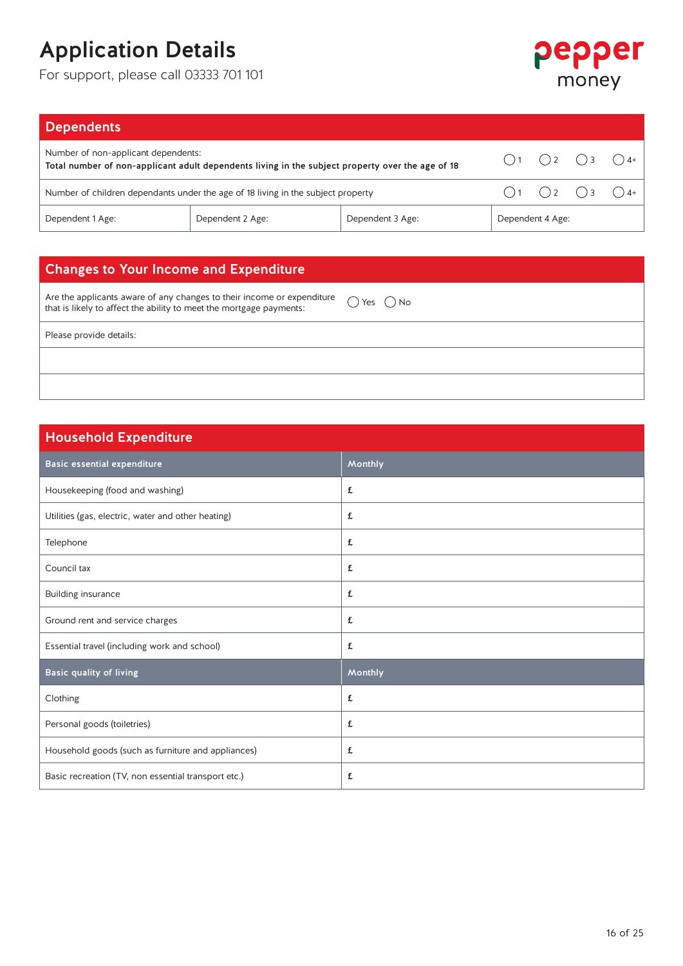For support, please call 03333 701 101



| <b>Dependents</b>                                                                                                                       |                  |                  |                                                          |  |
|-----------------------------------------------------------------------------------------------------------------------------------------|------------------|------------------|----------------------------------------------------------|--|
| Number of non-applicant dependents:<br>Total number of non-applicant adult dependents living in the subject property over the age of 18 |                  |                  | $\bigcap_{1}$ $\bigcap_{2}$ $\bigcap_{3}$ $\bigcap_{4+}$ |  |
| Number of children dependants under the age of 18 living in the subject property                                                        |                  |                  | $\bigcirc$ 1 $\bigcirc$ 2 $\bigcirc$ 3 $\bigcirc$ 4+     |  |
| Dependent 1 Age:                                                                                                                        | Dependent 3 Age: | Dependent 4 Age: |                                                          |  |

### Changes to Your Income and Expenditure

Are the applicants aware of any changes to their income or expenditure Are the applicants aware of any changes to their income or expenditure  $\bigcirc$  Yes  $\bigcirc$  No that is likely to affect the ability to meet the mortgage payments:

Please provide details:

### Household Expenditure

| Basic essential expenditure                         | Monthly |
|-----------------------------------------------------|---------|
| Housekeeping (food and washing)                     | £       |
| Utilities (gas, electric, water and other heating)  | £       |
| Telephone                                           | £       |
| Council tax                                         | £       |
| Building insurance                                  | £       |
| Ground rent and service charges                     | £       |
| Essential travel (including work and school)        | £       |
| Basic quality of living                             | Monthly |
| Clothing                                            | £       |
| Personal goods (toiletries)                         | £       |
| Household goods (such as furniture and appliances)  | £       |
| Basic recreation (TV, non essential transport etc.) | £       |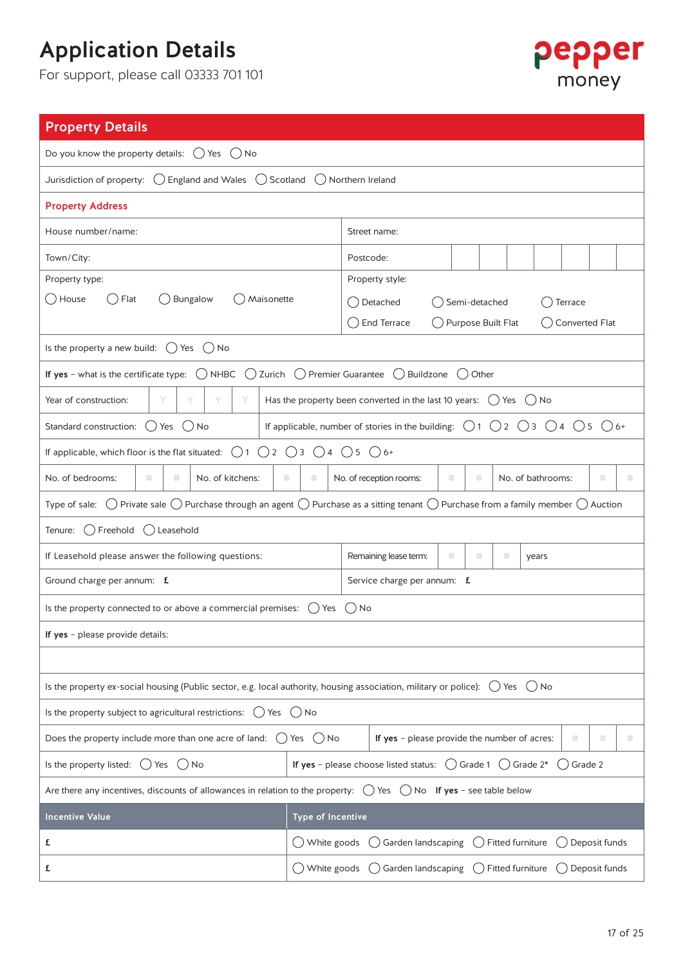

| <b>Property Details</b>                                                                                                                                                        |                                                                   |                     |                                                                                                                                  |                      |       |                                                |         |                    |               |   |  |  |
|--------------------------------------------------------------------------------------------------------------------------------------------------------------------------------|-------------------------------------------------------------------|---------------------|----------------------------------------------------------------------------------------------------------------------------------|----------------------|-------|------------------------------------------------|---------|--------------------|---------------|---|--|--|
| Do you know the property details: $\bigcirc$ Yes $\bigcirc$ No                                                                                                                 |                                                                   |                     |                                                                                                                                  |                      |       |                                                |         |                    |               |   |  |  |
| Jurisdiction of property: $\bigcirc$ England and Wales $\bigcirc$ Scotland                                                                                                     |                                                                   | () Northern Ireland |                                                                                                                                  |                      |       |                                                |         |                    |               |   |  |  |
| <b>Property Address</b>                                                                                                                                                        |                                                                   |                     |                                                                                                                                  |                      |       |                                                |         |                    |               |   |  |  |
| House number/name:                                                                                                                                                             |                                                                   |                     | Street name:                                                                                                                     |                      |       |                                                |         |                    |               |   |  |  |
| Town/City:                                                                                                                                                                     |                                                                   | Postcode:           |                                                                                                                                  |                      |       |                                                |         |                    |               |   |  |  |
| Property type:                                                                                                                                                                 |                                                                   |                     | Property style:                                                                                                                  |                      |       |                                                |         |                    |               |   |  |  |
| ( )House<br>( )Flat<br>Bungalow<br>Maisonette<br>$($ )                                                                                                                         |                                                                   |                     | ◯ Detached                                                                                                                       | Semi-detached        |       |                                                |         | Terrace            |               |   |  |  |
|                                                                                                                                                                                |                                                                   |                     | () End Terrace                                                                                                                   | ◯ Purpose Built Flat |       |                                                |         | ( ) Converted Flat |               |   |  |  |
| Is the property a new build: $\bigcirc$ Yes $\bigcirc$ No                                                                                                                      |                                                                   |                     |                                                                                                                                  |                      |       |                                                |         |                    |               |   |  |  |
| If yes - what is the certificate type: $\bigcirc$ NHBC $\bigcirc$ Zurich $\bigcirc$ Premier Guarantee                                                                          |                                                                   |                     | () Buildzone                                                                                                                     | $($ )                | Other |                                                |         |                    |               |   |  |  |
| Year of construction:<br>Υ<br>Υ                                                                                                                                                |                                                                   |                     | Has the property been converted in the last 10 years: $( )$ Yes $( )$ No                                                         |                      |       |                                                |         |                    |               |   |  |  |
| Standard construction: $()$ Yes $()$ No                                                                                                                                        |                                                                   |                     | If applicable, number of stories in the building: $\bigcirc$ 1 $\bigcirc$ 2 $\bigcirc$ 3 $\bigcirc$ 4 $\bigcirc$ 5 $\bigcirc$ 6+ |                      |       |                                                |         |                    |               |   |  |  |
| If applicable, which floor is the flat situated:<br>()1                                                                                                                        | $\bigcirc$ 2 $\bigcirc$ 3 $\bigcirc$ 4 $\bigcirc$ 5 $\bigcirc$ 6+ |                     |                                                                                                                                  |                      |       |                                                |         |                    |               |   |  |  |
| No. of bedrooms:<br>井<br>*<br>No. of kitchens:<br>井<br>井<br>No. of reception rooms:<br>*<br>井<br>No. of bathrooms:<br>井<br>×                                                   |                                                                   |                     |                                                                                                                                  |                      |       |                                                |         |                    |               |   |  |  |
| Type of sale: $\bigcirc$ Private sale $\bigcirc$ Purchase through an agent $\bigcirc$ Purchase as a sitting tenant $\bigcirc$ Purchase from a family member $\bigcirc$ Auction |                                                                   |                     |                                                                                                                                  |                      |       |                                                |         |                    |               |   |  |  |
| () Freehold<br>() Leasehold<br>Tenure:                                                                                                                                         |                                                                   |                     |                                                                                                                                  |                      |       |                                                |         |                    |               |   |  |  |
| If Leasehold please answer the following questions:                                                                                                                            |                                                                   |                     | Remaining lease term:                                                                                                            | 井.                   | 井     | *                                              | years   |                    |               |   |  |  |
| Ground charge per annum: f.                                                                                                                                                    |                                                                   |                     | Service charge per annum: f.                                                                                                     |                      |       |                                                |         |                    |               |   |  |  |
| Is the property connected to or above a commercial premises:                                                                                                                   | ( ) Yes                                                           | ' No                |                                                                                                                                  |                      |       |                                                |         |                    |               |   |  |  |
| If yes - please provide details:                                                                                                                                               |                                                                   |                     |                                                                                                                                  |                      |       |                                                |         |                    |               |   |  |  |
|                                                                                                                                                                                |                                                                   |                     |                                                                                                                                  |                      |       |                                                |         |                    |               |   |  |  |
| Is the property ex-social housing (Public sector, e.g. local authority, housing association, military or police): $\bigcirc$ Yes                                               |                                                                   |                     |                                                                                                                                  |                      |       |                                                | $()$ No |                    |               |   |  |  |
| Is the property subject to agricultural restrictions: $\bigcirc$ Yes $\bigcirc$ No                                                                                             |                                                                   |                     |                                                                                                                                  |                      |       |                                                |         |                    |               |   |  |  |
| Does the property include more than one acre of land:                                                                                                                          | $()$ Yes $()$ No                                                  |                     | If yes - please provide the number of acres:                                                                                     |                      |       |                                                |         | 井                  |               | ۰ |  |  |
| Is the property listed: $\bigcirc$ Yes<br>$()$ No                                                                                                                              |                                                                   |                     | If yes - please choose listed status:                                                                                            |                      |       | $\binom{1}{2}$ Grade 1 $\binom{1}{2}$ Grade 2* |         | $()$ Grade 2       |               |   |  |  |
| Are there any incentives, discounts of allowances in relation to the property: $\bigcirc$ Yes $\bigcirc$ No If yes - see table below                                           |                                                                   |                     |                                                                                                                                  |                      |       |                                                |         |                    |               |   |  |  |
| <b>Incentive Value</b>                                                                                                                                                         | <b>Type of Incentive</b>                                          |                     |                                                                                                                                  |                      |       |                                                |         |                    |               |   |  |  |
| £                                                                                                                                                                              | $\bigcup$ White goods                                             |                     | Garden landscaping                                                                                                               |                      |       | Fitted furniture                               |         |                    | Deposit funds |   |  |  |
| £                                                                                                                                                                              | ◯ White goods                                                     |                     | Garden landscaping                                                                                                               |                      |       | () Fitted furniture                            |         | () Deposit funds   |               |   |  |  |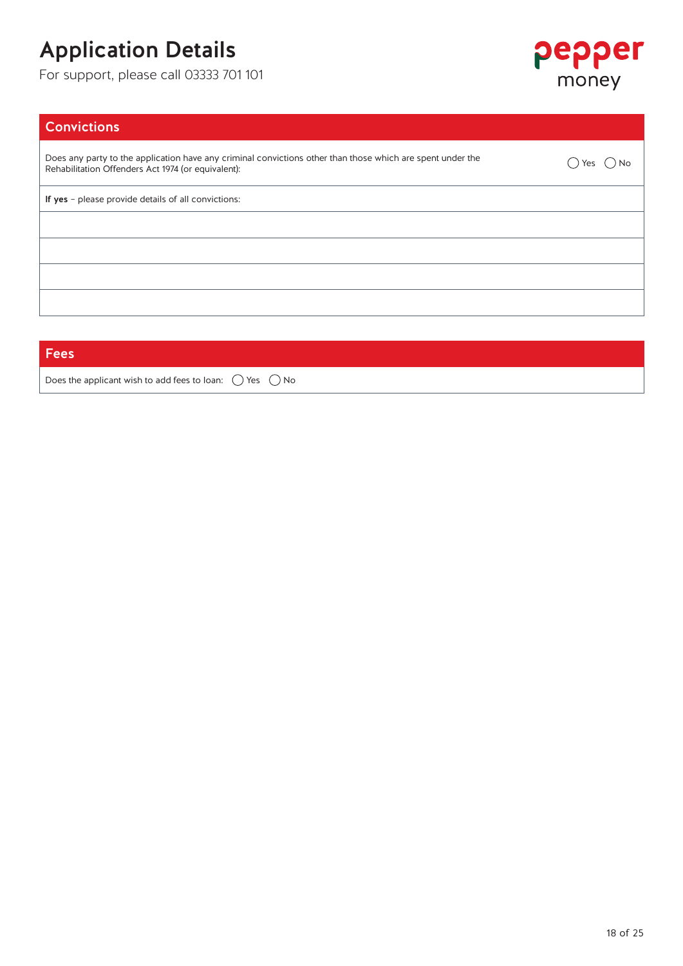For support, please call 03333 701 101



### **Convictions**

Does any party to the application have any criminal convictions other than those which are spent under the Does any party to the application have any criminal convictions other than those which are spent under the  $\bigcirc$  Yes  $\bigcirc$  No Rehabilitation Offenders Act 1974 (or equivalent):

If yes – please provide details of all convictions:

**Fees** 

Does the applicant wish to add fees to loan:  $\bigcirc$  Yes  $\bigcirc$  No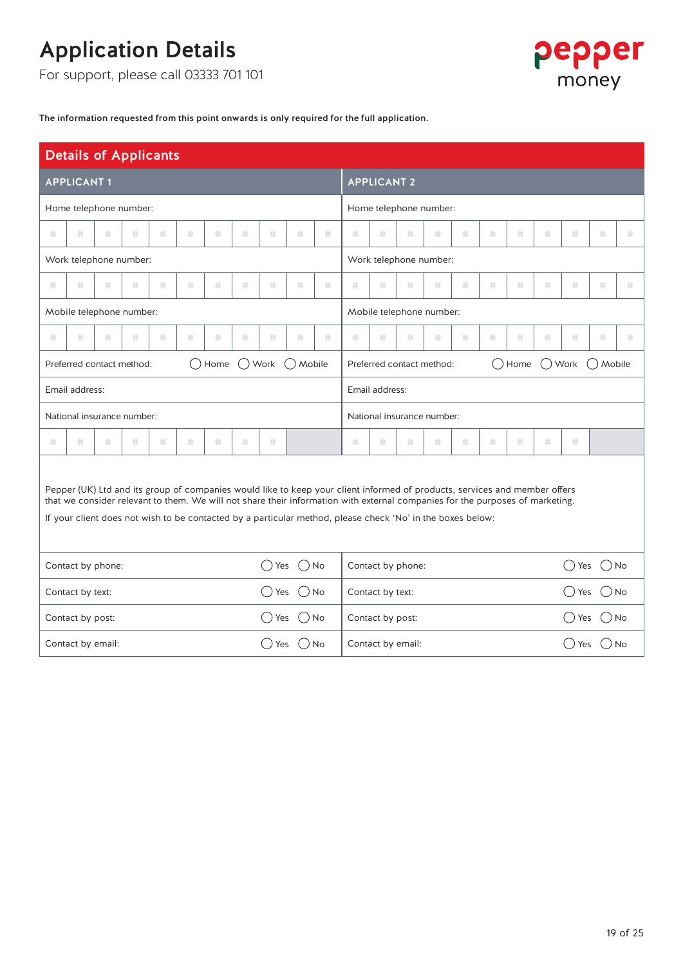For support, please call 03333 701 101



The information requested from this point onwards is only required for the full application.

|                                                                                   | <b>Details of Applicants</b> |   |    |    |   |         |   |                |                  |   |                                                                                                                                                                                                                                                                                                                                                                           |                           |                   |                            |                 |              |         |                                   |              |         |   |
|-----------------------------------------------------------------------------------|------------------------------|---|----|----|---|---------|---|----------------|------------------|---|---------------------------------------------------------------------------------------------------------------------------------------------------------------------------------------------------------------------------------------------------------------------------------------------------------------------------------------------------------------------------|---------------------------|-------------------|----------------------------|-----------------|--------------|---------|-----------------------------------|--------------|---------|---|
|                                                                                   | <b>APPLICANT1</b>            |   |    |    |   |         |   |                |                  |   |                                                                                                                                                                                                                                                                                                                                                                           | <b>APPLICANT 2</b>        |                   |                            |                 |              |         |                                   |              |         |   |
|                                                                                   | Home telephone number:       |   |    |    |   |         |   |                |                  |   |                                                                                                                                                                                                                                                                                                                                                                           |                           |                   | Home telephone number:     |                 |              |         |                                   |              |         |   |
| 卦                                                                                 | 井                            | 蒜 | *  | 井. | 井 | *       | 卦 | 井              | 8                | 卦 | 卦                                                                                                                                                                                                                                                                                                                                                                         | 非                         | 靠                 | 莽                          | 菲               | 龄            | 卦       | 井                                 | 非            | 蒜       | 卦 |
|                                                                                   | Work telephone number:       |   |    |    |   |         |   |                |                  |   |                                                                                                                                                                                                                                                                                                                                                                           |                           |                   | Work telephone number:     |                 |              |         |                                   |              |         |   |
| 卦.                                                                                | 县                            | 县 | 卦  | 井. | 蒜 | 卦       | 龄 | 县              | 卦                | 卦 | 卦                                                                                                                                                                                                                                                                                                                                                                         | 县                         | 卦                 | 龄                          | 非               | 蒜            | 县       | 县                                 | 县            | 龄       | 卦 |
|                                                                                   | Mobile telephone number:     |   |    |    |   |         |   |                |                  |   |                                                                                                                                                                                                                                                                                                                                                                           |                           |                   | Mobile telephone number:   |                 |              |         |                                   |              |         |   |
| *                                                                                 | *                            | 卦 | 卦  | 井  | 井 | *       | 卦 | 井              | 卦                | 非 | 非.                                                                                                                                                                                                                                                                                                                                                                        | 菲                         | 井.                | 莽                          | 菲               | *            | *       | 井                                 | 非            | 莽       | * |
| $\bigcirc$ Home<br>$\bigcirc$ Work $\bigcirc$ Mobile<br>Preferred contact method: |                              |   |    |    |   |         |   |                |                  |   |                                                                                                                                                                                                                                                                                                                                                                           | Preferred contact method: |                   |                            | $\bigcirc$ Home |              |         | $\bigcirc$ Work $\bigcirc$ Mobile |              |         |   |
| Email address:                                                                    |                              |   |    |    |   |         |   | Email address: |                  |   |                                                                                                                                                                                                                                                                                                                                                                           |                           |                   |                            |                 |              |         |                                   |              |         |   |
|                                                                                   | National insurance number:   |   |    |    |   |         |   |                |                  |   |                                                                                                                                                                                                                                                                                                                                                                           |                           |                   | National insurance number: |                 |              |         |                                   |              |         |   |
| 卦.                                                                                | *                            | 非 | 井. | 井. | 非 | 卦       | 龄 | 非              |                  |   | \$                                                                                                                                                                                                                                                                                                                                                                        | 非                         | 非.                | 非.                         | 非               | 龄            | 县       | 井.                                | *            |         |   |
|                                                                                   |                              |   |    |    |   |         |   |                |                  |   | Pepper (UK) Ltd and its group of companies would like to keep your client informed of products, services and member offers<br>that we consider relevant to them. We will not share their information with external companies for the purposes of marketing.<br>If your client does not wish to be contacted by a particular method, please check 'No' in the boxes below: |                           |                   |                            |                 |              |         |                                   |              |         |   |
|                                                                                   | Contact by phone:            |   |    |    |   |         |   | ( ) Yes        | $()$ No          |   |                                                                                                                                                                                                                                                                                                                                                                           |                           | Contact by phone: |                            |                 |              |         |                                   | ( )Yes       | $()$ No |   |
| Contact by text:<br>( ) Yes                                                       |                              |   |    |    |   | $()$ No |   |                | Contact by text: |   |                                                                                                                                                                                                                                                                                                                                                                           |                           |                   |                            |                 | $($ )<br>Yes | $()$ No |                                   |              |         |   |
|                                                                                   | Contact by post:             |   |    |    |   |         |   | $( )$ Yes      | $()$ No          |   |                                                                                                                                                                                                                                                                                                                                                                           | Contact by post:          |                   |                            |                 |              |         |                                   | ()Yes        | $()$ No |   |
|                                                                                   | Contact by email:            |   |    |    |   |         |   | () Yes         | $( )$ No         |   |                                                                                                                                                                                                                                                                                                                                                                           | Contact by email:         |                   |                            |                 |              |         |                                   | $($ )<br>Yes | ( ) No  |   |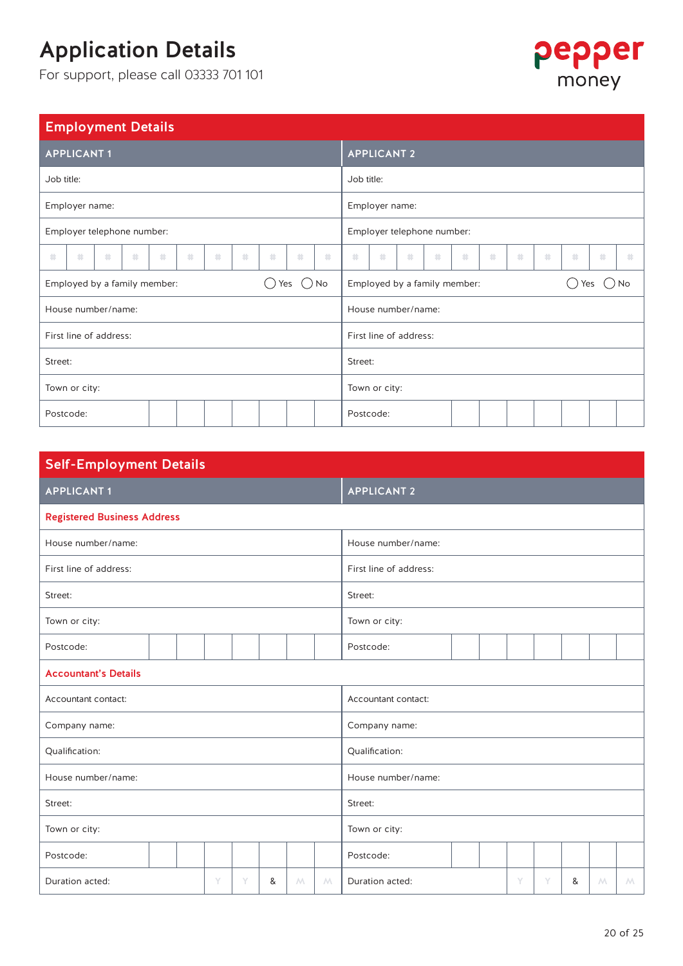For support, please call 03333 701 101



### Employment Details

| <b>APPLICANT1</b>            |   |   |   |   |   |   |   |     |                                                |            | <b>APPLICANT 2</b>           |  |  |  |  |  |         |    |
|------------------------------|---|---|---|---|---|---|---|-----|------------------------------------------------|------------|------------------------------|--|--|--|--|--|---------|----|
| Job title:                   |   |   |   |   |   |   |   |     |                                                | Job title: |                              |  |  |  |  |  |         |    |
| Employer name:               |   |   |   |   |   |   |   |     |                                                |            | Employer name:               |  |  |  |  |  |         |    |
| Employer telephone number:   |   |   |   |   |   |   |   |     |                                                |            | Employer telephone number:   |  |  |  |  |  |         |    |
| 非<br>*                       | 井 | 莽 | 井 | * | 非 | 井 | 井 | *   | *<br>*<br>*<br>*<br>非<br>*<br>*<br>*<br>井<br>* |            |                              |  |  |  |  |  | \$<br>蒜 |    |
| Employed by a family member: |   |   |   |   |   |   |   | Yes | $\bigcirc$ No                                  |            | Employed by a family member: |  |  |  |  |  | Yes     | No |
| House number/name:           |   |   |   |   |   |   |   |     |                                                |            | House number/name:           |  |  |  |  |  |         |    |
| First line of address:       |   |   |   |   |   |   |   |     |                                                |            | First line of address:       |  |  |  |  |  |         |    |
| Street:                      |   |   |   |   |   |   |   |     |                                                | Street:    |                              |  |  |  |  |  |         |    |
| Town or city:                |   |   |   |   |   |   |   |     |                                                |            | Town or city:                |  |  |  |  |  |         |    |
| Postcode:                    |   |   |   |   |   |   |   |     |                                                | Postcode:  |                              |  |  |  |  |  |         |    |

| <b>Self-Employment Details</b>     |  |   |   |   |             |   |                                                    |  |  |  |  |  |  |  |  |  |  |  |
|------------------------------------|--|---|---|---|-------------|---|----------------------------------------------------|--|--|--|--|--|--|--|--|--|--|--|
| <b>APPLICANT1</b>                  |  |   |   |   |             |   | <b>APPLICANT 2</b>                                 |  |  |  |  |  |  |  |  |  |  |  |
| <b>Registered Business Address</b> |  |   |   |   |             |   |                                                    |  |  |  |  |  |  |  |  |  |  |  |
| House number/name:                 |  |   |   |   |             |   | House number/name:                                 |  |  |  |  |  |  |  |  |  |  |  |
| First line of address:             |  |   |   |   |             |   | First line of address:                             |  |  |  |  |  |  |  |  |  |  |  |
| Street:                            |  |   |   |   |             |   | Street:                                            |  |  |  |  |  |  |  |  |  |  |  |
| Town or city:                      |  |   |   |   |             |   | Town or city:                                      |  |  |  |  |  |  |  |  |  |  |  |
| Postcode:                          |  |   |   |   |             |   | Postcode:                                          |  |  |  |  |  |  |  |  |  |  |  |
| <b>Accountant's Details</b>        |  |   |   |   |             |   |                                                    |  |  |  |  |  |  |  |  |  |  |  |
| Accountant contact:                |  |   |   |   |             |   | Accountant contact:                                |  |  |  |  |  |  |  |  |  |  |  |
| Company name:                      |  |   |   |   |             |   | Company name:                                      |  |  |  |  |  |  |  |  |  |  |  |
| Qualification:                     |  |   |   |   |             |   | Qualification:                                     |  |  |  |  |  |  |  |  |  |  |  |
| House number/name:                 |  |   |   |   |             |   | House number/name:                                 |  |  |  |  |  |  |  |  |  |  |  |
| Street:                            |  |   |   |   |             |   | Street:                                            |  |  |  |  |  |  |  |  |  |  |  |
| Town or city:                      |  |   |   |   |             |   | Town or city:                                      |  |  |  |  |  |  |  |  |  |  |  |
| Postcode:                          |  |   |   |   |             |   | Postcode:                                          |  |  |  |  |  |  |  |  |  |  |  |
| Duration acted:                    |  | Y | Y | & | $M_{\odot}$ | M | Duration acted:<br>Y<br>Y<br>&<br>M<br>$M_{\odot}$ |  |  |  |  |  |  |  |  |  |  |  |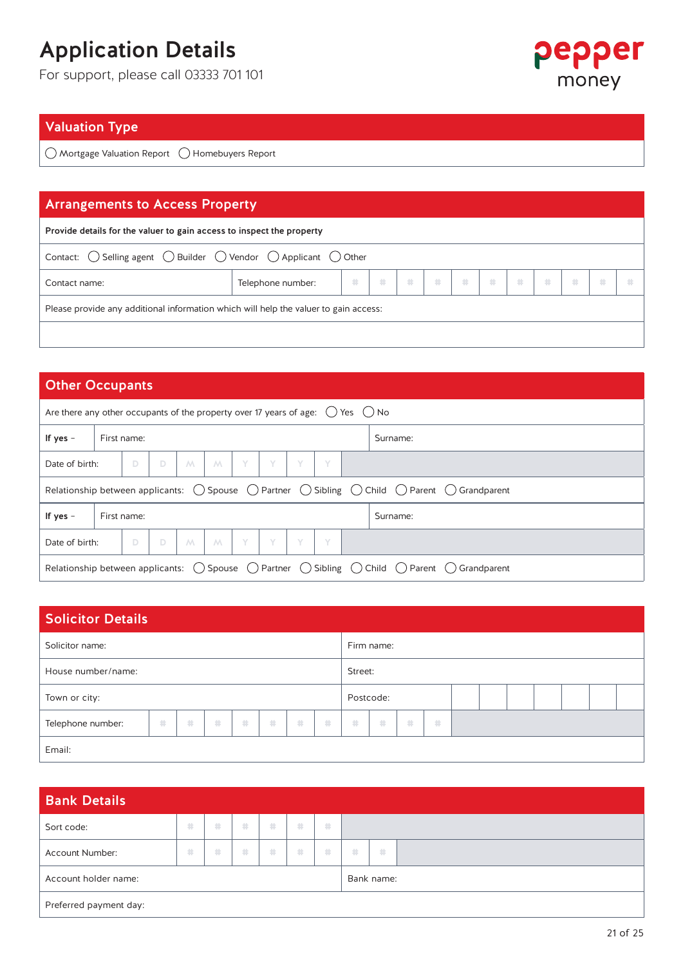For support, please call 03333 701 101



### Valuation Type

 $\bigcirc$  Mortgage Valuation Report  $\bigcirc$  Homebuyers Report

### Arrangements to Access Property

| Provide details for the valuer to gain access to inspect the property                                        |                        |  |  |  |  |  |  |  |  |  |  |  |  |  |
|--------------------------------------------------------------------------------------------------------------|------------------------|--|--|--|--|--|--|--|--|--|--|--|--|--|
| Contact: $\bigcirc$ Selling agent $\bigcirc$ Builder $\bigcirc$ Vendor $\bigcirc$ Applicant $\bigcirc$ Other |                        |  |  |  |  |  |  |  |  |  |  |  |  |  |
| Contact name:                                                                                                | .<br>Telephone number: |  |  |  |  |  |  |  |  |  |  |  |  |  |
| Please provide any additional information which will help the valuer to gain access:                         |                        |  |  |  |  |  |  |  |  |  |  |  |  |  |
|                                                                                                              |                        |  |  |  |  |  |  |  |  |  |  |  |  |  |

### Other Occupants

| Are there any other occupants of the property over 17 years of age: $( )$ Yes $( )$ No |                                                                                                                                                    |  |  |  |  |  |  |  |  |  |          |  |  |
|----------------------------------------------------------------------------------------|----------------------------------------------------------------------------------------------------------------------------------------------------|--|--|--|--|--|--|--|--|--|----------|--|--|
| If yes $-$                                                                             | First name:                                                                                                                                        |  |  |  |  |  |  |  |  |  | Surname: |  |  |
| Y<br>Y<br>D<br>Y<br>D<br>M<br>M<br>Y<br>Date of birth:                                 |                                                                                                                                                    |  |  |  |  |  |  |  |  |  |          |  |  |
|                                                                                        | Relationship between applicants: $\bigcirc$ Spouse $\bigcirc$ Partner $\bigcirc$ Sibling $\bigcirc$ Child $\bigcirc$ Parent $\bigcirc$ Grandparent |  |  |  |  |  |  |  |  |  |          |  |  |
| If yes $-$                                                                             | First name:                                                                                                                                        |  |  |  |  |  |  |  |  |  | Surname: |  |  |
|                                                                                        | D<br>M<br>$M_{\odot}$<br>Y<br>Y<br>D<br><b>Y</b><br>Date of birth:                                                                                 |  |  |  |  |  |  |  |  |  |          |  |  |
|                                                                                        | Relationship between applicants: $\bigcirc$ Spouse $\bigcirc$ Partner $\bigcirc$ Sibling $\bigcirc$ Child $\bigcirc$ Parent $\bigcirc$ Grandparent |  |  |  |  |  |  |  |  |  |          |  |  |

| <b>Solicitor Details</b> |      |    |     |      |     |  |  |           |            |  |  |  |  |  |  |
|--------------------------|------|----|-----|------|-----|--|--|-----------|------------|--|--|--|--|--|--|
| Solicitor name:          |      |    |     |      |     |  |  |           | Firm name: |  |  |  |  |  |  |
| House number/name:       |      |    |     |      |     |  |  |           | Street:    |  |  |  |  |  |  |
| Town or city:            |      |    |     |      |     |  |  | Postcode: |            |  |  |  |  |  |  |
| Telephone number:        | - 41 | 48 | -18 | - 48 | -19 |  |  |           |            |  |  |  |  |  |  |
| Email:                   |      |    |     |      |     |  |  |           |            |  |  |  |  |  |  |

| <b>Bank Details</b>    |     |   |     |      |     |      |   |            |  |  |  |  |
|------------------------|-----|---|-----|------|-----|------|---|------------|--|--|--|--|
| Sort code:             | -18 | 非 | 48  | - 48 | 48  | - 41 |   |            |  |  |  |  |
| Account Number:        | -18 | 非 | -18 | - 48 | -18 | 48   | * | - 48       |  |  |  |  |
| Account holder name:   |     |   |     |      |     |      |   | Bank name: |  |  |  |  |
| Preferred payment day: |     |   |     |      |     |      |   |            |  |  |  |  |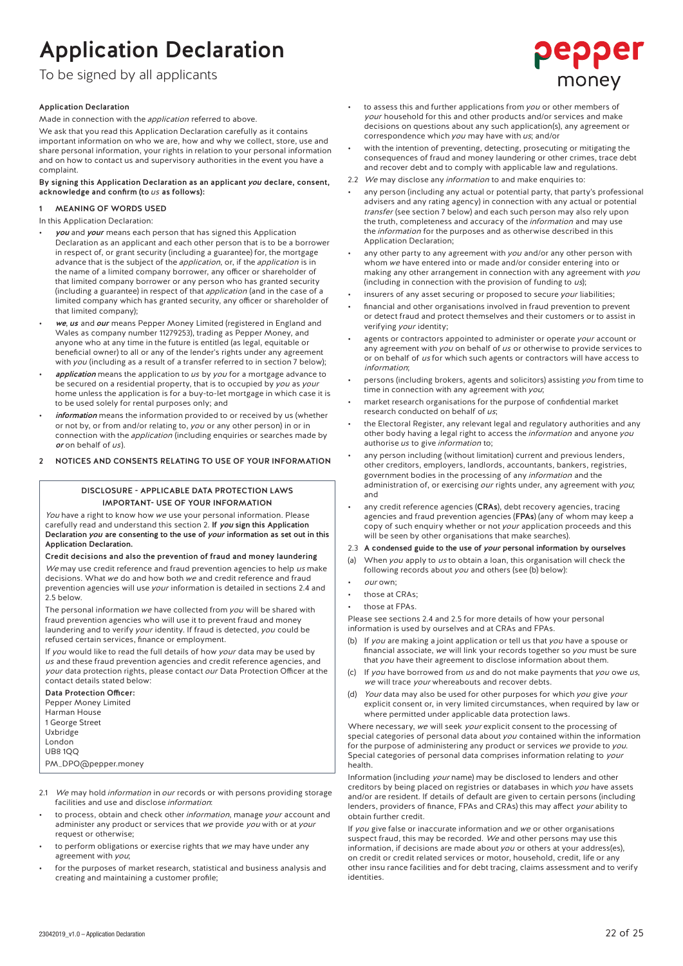### Application Declaration Application Declaration

### To be signed by all applicants to be signed by all applicants.<br>The by a stress with a political stress of a

### Application Declaration

Made in connection with the *application* referred to above.

We ask that you read this Application Declaration carefully as it contains important information on who we are, how and why we collect, store, use and share personal information, your rights in relation to your personal information and on how to contact us and supervisory authorities in the event you have a complaint.

By signing this Application Declaration as an applicant you declare, consent, acknowledge and confirm (to us as follows):

### **MEANING OF WORDS USED**

In this Application Declaration:

- you and your means each person that has signed this Application Declaration as an applicant and each other person that is to be a borrower in respect of, or grant security (including a guarantee) for, the mortgage advance that is the subject of the *application*, or, if the *application* is in the name of a limited company borrower, any officer or shareholder of that limited company borrower or any person who has granted security (including a guarantee) in respect of that *application* (and in the case of a limited company which has granted security, any officer or shareholder of that limited company);
- we. us and our means Pepper Money Limited (registered in England and Wales as company number 11279253), trading as Pepper Money, and anyone who at any time in the future is entitled (as legal, equitable or beneficial owner) to all or any of the lender's rights under any agreement with you (including as a result of a transfer referred to in section 7 below);
- application means the application to us by you for a mortgage advance to be secured on a residential property, that is to occupied by you as your home unless the application is for a buy-to-let mortgage in which case it is to be used solely for rental purposes only; and
- information means the information provided to or received by us (whether or not by, or from and/or relating to, you or any other person) in or in connection with the *application* (including enquiries or searches made by or on behalf of us).
- 2 NOTICES AND CONSENTS RELATING TO USE OF YOUR INFORMATION

#### DISCLOSURE - APPLICABLE DATA PROTECTION LAWS IMPORTANT- USE OF YOUR INFORMATION

You have a right to know how we use your personal information. Please carefully read and understand this section 2. If you sign this Application Declaration you are consenting to the use of your information as set out in this Application Declaration.

Credit decisions and also the prevention of fraud and money laundering We may use credit reference and fraud prevention agencies to help us make decisions. What we do and how both we and credit reference and fraud prevention agencies will use your information is detailed in sections 2.4 and 2.5 below.

The personal information we have collected from you will be shared with fraud prevention agencies who will use it to prevent fraud and money laundering and to verify your identity. If fraud is detected, you could be refused certain services, finance or employment.

If vou would like to read the full details of how your data may be used by us and these fraud prevention agencies and credit reference agencies, and your data protection rights, please contact our Data Protection Officer at the contact details stated below:

Data Protection Officer: Pepper Money Limited Harman House 1 George Street Uxbridge London

 $UBB 100$ 

PM\_DPO@pepper.money

- 2.1 We may hold *information* in *our* records or with persons providing storage facilities and use and disclose information:
- to process, obtain and check other information, manage your account and administer any product or services that we provide you with or at your request or otherwise;
- to perform obligations or exercise rights that we may have under any agreement with you;
- for the purposes of market research, statistical and business analysis and creating and maintaining a customer profile;

to assess this and further applications from you or other members of your household for this and other products and/or services and make decisions on questions about any such application(s), any agreement or correspondence which you may have with us; and/or

ၣၔၣၣၔr

money

- with the intention of preventing, detecting, prosecuting or mitigating the consequences of fraud and money laundering or other crimes, trace debt and recover debt and to comply with applicable law and regulations.
- 2.2 We may disclose any information to and make enquiries to:
- any person (including any actual or potential party, that party's professional advisers and any rating agency) in connection with any actual or potential transfer (see section 7 below) and each such person may also rely upon the truth, completeness and accuracy of the *information* and may use the information for the purposes and as otherwise described in this Application Declaration;
- any other party to any agreement with you and/or any other person with whom we have entered into or made and/or consider entering into or making any other arrangement in connection with any agreement with you (including in connection with the provision of funding to  $\overline{u}$ s);
- insurers of any asset securing or proposed to secure your liabilities;
- financial and other organisations involved in fraud prevention to prevent or detect fraud and protect themselves and their customers or to assist in verifying your identity;
- agents or contractors appointed to administer or operate your account or any agreement with you on behalf of us or otherwise to provide services to or on behalf of us for which such agents or contractors will have access to information;
- persons (including brokers, agents and solicitors) assisting you from time to time in connection with any agreement with you;
- market research organisations for the purpose of confidential market research conducted on behalf of us;
- the Electoral Register, any relevant legal and regulatory authorities and any other body having a legal right to access the *information* and anyone you authorise us to give information to;
- any person including (without limitation) current and previous lenders, other creditors, employers, landlords, accountants, bankers, registries, government bodies in the processing of any information and the administration of, or exercising our rights under, any agreement with you; and
- any credit reference agencies (CRAs), debt recovery agencies, tracing agencies and fraud prevention agencies (FPAs) (any of whom may keep a copy of such enquiry whether or not your application proceeds and this will be seen by other organisations that make searches)
- 2.3 A condensed guide to the use of your personal information by ourselves
- (a) When you apply to us to obtain a loan, this organisation will check the following records about you and others (see (b) below):
- our own:
- those at CRAs:
- those at FPAs.

Please see sections 2.4 and 2.5 for more details of how your personal information is used by ourselves and at CRAs and FPAs.

- (b) If you are making a joint application or tell us that you have a spouse or financial associate, we will link your records together so you must be sure that you have their agreement to disclose information about them.
- If you have borrowed from us and do not make payments that you owe us, we will trace your whereabouts and recover debts.
- (d) Your data may also be used for other purposes for which you give your explicit consent or, in very limited circumstances, when required by law or where permitted under applicable data protection laws.

Where necessary, we will seek your explicit consent to the processing of special categories of personal data about you contained within the information for the purpose of administering any product or services we provide to you. Special categories of personal data comprises information relating to your health.

Information (including your name) may be disclosed to lenders and other creditors by being placed on registries or databases in which you have assets and/or are resident. If details of default are given to certain persons (including lenders, providers of finance, FPAs and CRAs) this may affect your ability to obtain further credit.

If you give false or inaccurate information and we or other organisations suspect fraud, this may be recorded. We and other persons may use this information, if decisions are made about you or others at your address(es), on credit or credit related services or motor, household, credit, life or any other insu rance facilities and for debt tracing, claims assessment and to verify identities.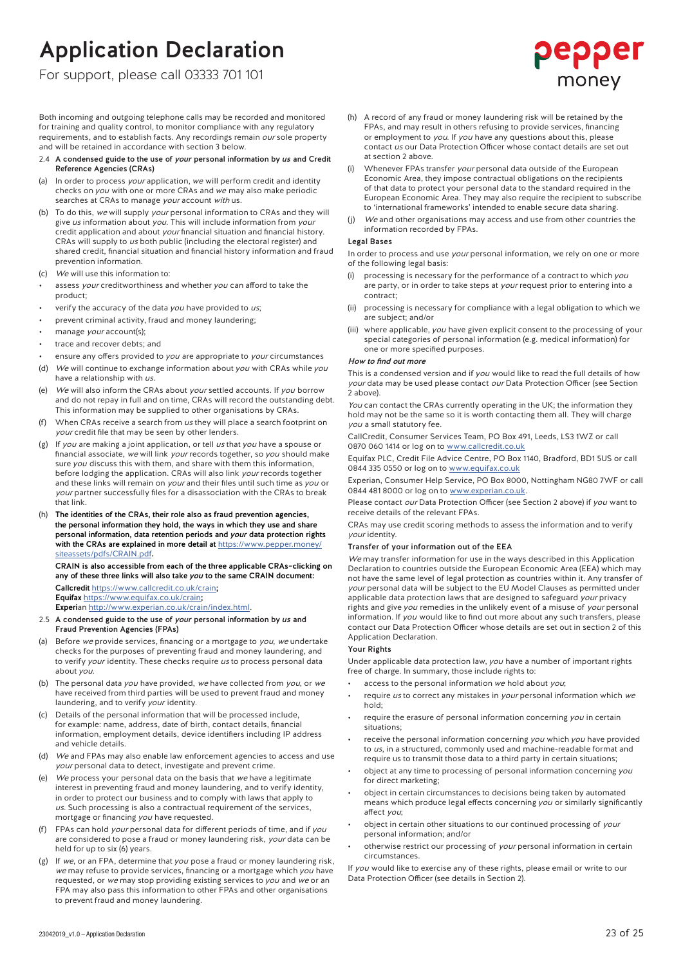### Application Declaration

For support, please call 03333 701 101

for training and quality control, to monitor compliance with any regulatory requirements, and to establish facts. Any recordings remain our sole property and will be retained in accordance with section 3 below.

#### 2.4 A condensed guide to the use of *your* personal information by us and Credit Reference Agencies (CRAs)

- (a) In order to process *your* application, we will perform credit and identity checks on you with one or more CRAs and we may also make periodic searches at CRAs to manage your account with us.
- To do this, we will supply your personal information to CRAs and they will give us information about you. This will include information from your credit application and about your financial situation and financial history. CRAs will supply to us both public (including the electoral register) and shared credit, financial situation and financial history information and fraud prevention information.
- (c) We will use this information to:
- assess your creditworthiness and whether you can afford to take the product;
- verify the accuracy of the data you have provided to  $us$ ;
- prevent criminal activity, fraud and money laundering;
- manage your account(s);
- trace and recover debts; and
- ensure any offers provided to you are appropriate to your circumstances
- (d) We will continue to exchange information about you with CRAs while you have a relationship with us
- (e) We will also inform the CRAs about your settled accounts. If you borrow and do not repay in full and on time, CRAs will record the outstanding debt. This information may be supplied to other organisations by CRAs.
- (f) When CRAs receive a search from  $us$  they will place a search footprint on your credit file that may be seen by other lenders.
- (g) If you are making a joint application, or tell us that you have a spouse or financial associate, we will link your records together, so you should make sure you discuss this with them, and share with them this information, before lodging the application. CRAs will also link your records together and these links will remain on your and their files until such time as you or your partner successfully files for a disassociation with the CRAs to break that link.
- (h) The identities of the CRAs, their role also as fraud prevention agencies, the personal information they hold, the ways in which they use and share personal information, data retention periods and your data protection rights with the CRAs are explained in more detail at https://www.pepper.money/ siteassets/pdfs/CRAIN.pdf.

### CRAIN is also accessible from each of the three applicable CRAs–clicking on any of these three links will also take you to the same CRAIN document: Callcredit https://www.callcredit.co.uk/crain;

Equifax https://www.equifax.co.uk/crain;

Experian http://www.experian.co.uk/crain/index.html.

- 2.5 A condensed guide to the use of your personal information by us and Fraud Prevention Agencies (FPAs)
- (a) Before  $we$  provide services, financing or a mortgage to  $you$ , we undertake checks for the purposes of preventing fraud and money laundering, and to verify your identity. These checks require us to process personal data about you.
- (b) The personal data you have provided, we have collected from you, or we have received from third parties will be used to prevent fraud and money laundering, and to verify your identity.
- Details of the personal information that will be processed include, for example: name, address, date of birth, contact details, financial information, employment details, device identifiers including IP address and vehicle details.
- We and FPAs may also enable law enforcement agencies to access and use your personal data to detect, investigate and prevent crime.
- We process your personal data on the basis that we have a legitimate interest in preventing fraud and money laundering, and to verify identity, in order to protect our business and to comply with laws that apply to us. Such processing is also a contractual requirement of the services, mortgage or financing you have requested.
- FPAs can hold your personal data for different periods of time, and if you are considered to pose a fraud or money laundering risk, your data can be held for up to six (6) years.
- (g) If we, or an FPA, determine that you pose a fraud or money laundering risk, we may refuse to provide services, financing or a mortgage which you have requested, or we may stop providing existing services to you and we or an FPA may also pass this information to other FPAs and other organisations to prevent fraud and money laundering.
- (h) A record of any fraud or money laundering risk will be retained by the FPAs, and may result in others refusing to provide services, financing or employment to you. If you have any questions about this, please contact us our Data Protection Officer whose contact details are set out at section 2 above.
- (i) Whenever FPAs transfer your personal data outside of the European Economic Area, they impose contractual obligations on the recipients of that data to protect your personal data to the standard required in the European Economic Area. They may also require the recipient to subscribe to 'international frameworks' intended to enable secure data sharing.
- (j) We and other organisations may access and use from other countries the information recorded by FPAs.

### Legal Bases

In order to process and use your personal information, we rely on one or more of the following legal basis:

- processing is necessary for the performance of a contract to which you are party, or in order to take steps at your request prior to entering into a contract;
- (ii) processing is necessary for compliance with a legal obligation to which we are subject; and/or
- (iii) where applicable, you have given explicit consent to the processing of your special categories of personal information (e.g. medical information) for one or more specified purposes.

#### How to find out more

This is a condensed version and if you would like to read the full details of how your data may be used please contact our Data Protection Officer (see Section 2 above).

You can contact the CRAs currently operating in the UK; the information they hold may not be the same so it is worth contacting them all. They will charge you a small statutory fee.

CallCredit, Consumer Services Team, PO Box 491, Leeds, LS3 1WZ or call 0870 060 1414 or log on to www.callcredit.co.uk

Equifax PLC, Credit File Advice Centre, PO Box 1140, Bradford, BD1 5US or call 0844 335 0550 or log on to www.equifax.co.uk

Experian, Consumer Help Service, PO Box 8000, Nottingham NG80 7WF or call 0844 481 8000 or log on to www.experian.co.uk

Please contact our Data Protection Officer (see Section 2 above) if you want to receive details of the relevant FPAs.

CRAs may use credit scoring methods to assess the information and to verify your identity.

#### Transfer of your information out of the EEA

2 of 4Both income in the calls may be recorded and monitored and monitored and monitored and monitored and monitored and monitored and monitored and monitored and monitored and monitored and monitored and monitored and m We may transfer information for use in the ways described in this Application Declaration to countries outside the European Economic Area (EEA) which may not have the same level of legal protection as countries within it. Any transfer of your personal data will be subject to the EU Model Clauses as permitted under applicable data protection laws that are designed to safeguard your privacy rights and give you remedies in the unlikely event of a misuse of your personal information. If you would like to find out more about any such transfers, please contact our Data Protection Officer whose details are set out in section 2 of this Application Declaration.

#### Your Rights

Under applicable data protection law, you have a number of important rights free of charge. In summary, those include rights to:

- access to the personal information we hold about you;
- require us to correct any mistakes in your personal information which we hold;
- require the erasure of personal information concerning you in certain situations;
- receive the personal information concerning you which you have provided to us, in a structured, commonly used and machine-readable format and require us to transmit those data to a third party in certain situations;
- object at any time to processing of personal information concerning you for direct marketing;
- object in certain circumstances to decisions being taken by automated means which produce legal effects concerning you or similarly significantly affect you;
- object in certain other situations to our continued processing of your personal information; and/or
- otherwise restrict our processing of your personal information in certain circumstances.

If you would like to exercise any of these rights, please email or write to our Data Protection Officer (see details in Section 2).

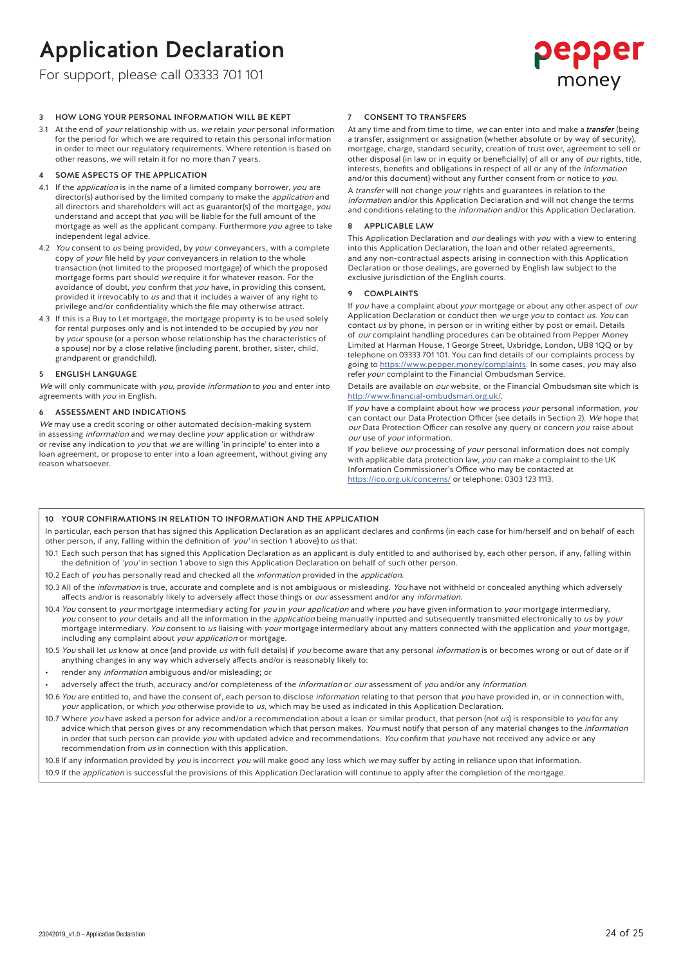### Application Declaration

For support, please call 03333 701 101

## pepper money

3.1 At the end of *your* relationship with us, we retain *your* personal information for the period for which we are required to retain this personal information in order to meet our regulatory requirements. Where retention is based on other reasons, we will retain it for no more than 7 years.

#### 4 SOME ASPECTS OF THE APPLICATION

- 4.1 If the *application* is in the name of a limited company borrower, you are director(s) authorised by the limited company to make the *application* and all directors and shareholders will act as guarantor(s) of the mortgage, you understand and accept that you will be liable for the full amount of the mortgage as well as the applicant company. Furthermore you agree to take independent legal advice.
- 4.2 You consent to us being provided, by your conveyancers, with a complete copy of your file held by your conveyancers in relation to the whole transaction (not limited to the proposed mortgage) of which the proposed mortgage forms part should we require it for whatever reason. For the avoidance of doubt, you confirm that you have, in providing this consent, provided it irrevocably to us and that it includes a waiver of any right to privilege and/or confidentiality which the file may otherwise attract.
- 4.3 If this is a Buy to Let mortgage, the mortgage property is to be used solely for rental purposes only and is not intended to be occupied by you nor by your spouse (or a person whose relationship has the characteristics of a spouse) nor by a close relative (including parent, brother, sister, child, grandparent or grandchild).

#### 5 ENGLISH LANGUAGE

We will only communicate with you, provide information to you and enter into agreements with you in English.

#### 6 ASSESSMENT AND INDICATIONS

We may use a credit scoring or other automated decision-making system in assessing *information* and we may decline your application or withdraw or revise any indication to you that we are willing 'in principle' to enter into a loan agreement, or propose to enter into a loan agreement, without giving any reason whatsoever.

#### CONSENT TO TRANSFERS

At any time and from time to time, we can enter into and make a *transfer* (being a transfer, assignment or assignation (whether absolute or by way of security), mortgage, charge, standard security, creation of trust over, agreement to sell or other disposal (in law or in equity or beneficially) of all or any of our rights, title, interests, benefits and obligations in respect of all or any of the information and/or this document) without any further consent from or notice to you.

A transfer will not change your rights and guarantees in relation to the information and/or this Application Declaration and will not change the terms and conditions relating to the *information* and/or this Application Declaration.

#### 8 APPLICABLE LAW

This Application Declaration and our dealings with you with a view to entering into this Application Declaration, the loan and other related agreements, and any non-contractual aspects arising in connection with this Application Declaration or those dealings, are governed by English law subject to the exclusive jurisdiction of the English courts.

### 9 COMPLAINTS

If you have a complaint about your mortgage or about any other aspect of our Application Declaration or conduct then we urge you to contact us. You can contact us by phone, in person or in writing either by post or email. Details of our complaint handling procedures can be obtained from Pepper Money Limited at Harman House, 1 George Street, Uxbridge, London, UB8 1QQ or by telephone on 03333 701 101. You can find details of our complaints process by going to https://www.pepper.money/complaints. In some cases, you may also refer *your* complaint to the Financial Ombudsman Service.

Details are available on our website, or the Financial Ombudsman site which is http://www.financial-ombudsman.org.uk/.

If you have a complaint about how we process your personal information, you can contact our Data Protection Officer (see details in Section 2). We hope that our Data Protection Officer can resolve any query or concern you raise about our use of your information.

If you believe our processing of your personal information does not comply with applicable data protection law, you can make a complaint to the UK Information Commissioner's Office who may be contacted at https://ico.org.uk/concerns/ or telephone: 0303 123 1113.

#### 10 YOUR CONFIRMATIONS IN RELATION TO INFORMATION AND THE APPLICATION

In particular, each person that has signed this Application Declaration as an applicant declares and confirms (in each case for him/herself and on behalf of each other person, if any, falling within the definition of 'you' in section 1 above) to us that:

- 10.1 Each such person that has signed this Application Declaration as an applicant is duly entitled to and authorised by, each other person, if any, falling within the definition of 'you' in section 1 above to sign this Application Declaration on behalf of such other person.
- 10.2 Each of you has personally read and checked all the information provided in the application.
- 10.3 All of the information is true, accurate and complete and is not ambiguous or misleading. You have not withheld or concealed anything which adversely affects and/or is reasonably likely to adversely affect those things or our assessment and/or any information
- 10.4 You consent to your mortgage intermediary acting for you in your application and where you have given information to your mortgage intermediary, you consent to your details and all the information in the *application* being manually inputted and subsequently transmitted electronically to us by your mortgage intermediary. You consent to us liaising with your mortgage intermediary about any matters connected with the application and your mortgage, including any complaint about your application or mortgage.
- 10.5 You shall let us know at once (and provide us with full details) if you become aware that any personal information is or becomes wrong or out of date or if anything changes in any way which adversely affects and/or is reasonably likely to:
- render any *information* ambiguous and/or misleading; or
- adversely affect the truth, accuracy and/or completeness of the information or our assessment of you and/or any information.
- 10.6 You are entitled to, and have the consent of, each person to disclose information relating to that person that you have provided in, or in connection with, your application, or which you otherwise provide to us, which may be used as indicated in this Application Declaration.
- 3 OF 43 HOW 140 CHEMIC SO THE REPORT FOR THE SURFAINTEE INTEREST (SEE CONFIDENT SO THE SURFAINTEE INTEREST (SEE CONFIDENT SO THE SURFAINTEE INTEREST (SEE CONFIDENT SO THE SURFAINTEE INTEREST (SEE CONFIDENT SO THE SURFAINT 10.7 Where you have asked a person for advice and/or a recommendation about a loan or similar product, that person (not us) is responsible to you for any advice which that person gives or any recommendation which that person makes. You must notify that person of any material changes to the information in order that such person can provide you with updated advice and recommendations. You confirm that you have not received any advice or any recommendation from us in connection with this application.

10.8 If any information provided by you is incorrect you will make good any loss which we may suffer by acting in reliance upon that information.

10.9 If the *application* is successful the provisions of this Application Declaration will continue to apply after the completion of the mortgage.